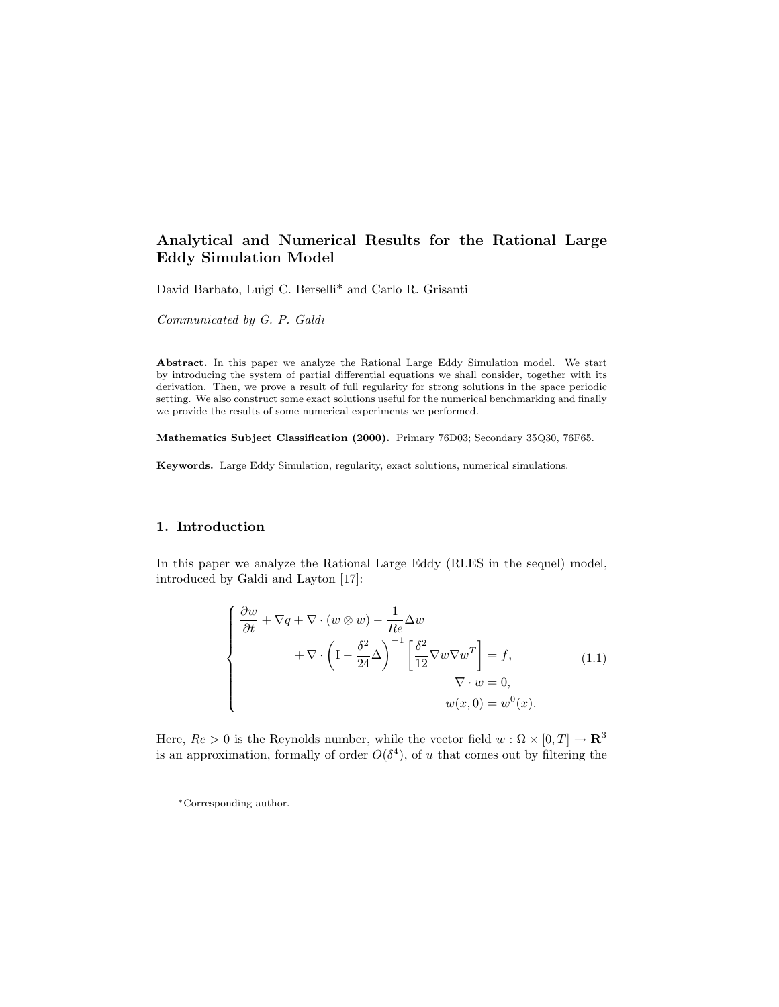# Analytical and Numerical Results for the Rational Large Eddy Simulation Model

David Barbato, Luigi C. Berselli\* and Carlo R. Grisanti

Communicated by G. P. Galdi

Abstract. In this paper we analyze the Rational Large Eddy Simulation model. We start by introducing the system of partial differential equations we shall consider, together with its derivation. Then, we prove a result of full regularity for strong solutions in the space periodic setting. We also construct some exact solutions useful for the numerical benchmarking and finally we provide the results of some numerical experiments we performed.

Mathematics Subject Classification (2000). Primary 76D03; Secondary 35Q30, 76F65.

Keywords. Large Eddy Simulation, regularity, exact solutions, numerical simulations.

## 1. Introduction

In this paper we analyze the Rational Large Eddy (RLES in the sequel) model, introduced by Galdi and Layton [17]:

$$
\begin{cases}\n\frac{\partial w}{\partial t} + \nabla q + \nabla \cdot (w \otimes w) - \frac{1}{Re} \Delta w \\
+ \nabla \cdot \left(1 - \frac{\delta^2}{24} \Delta\right)^{-1} \left[\frac{\delta^2}{12} \nabla w \nabla w^T\right] = \overline{f}, & (1.1) \\
\nabla \cdot w = 0, & w(x, 0) = w^0(x).\n\end{cases}
$$

Here,  $Re > 0$  is the Reynolds number, while the vector field  $w : \Omega \times [0, T] \to \mathbb{R}^3$ is an approximation, formally of order  $O(\delta^4)$ , of u that comes out by filtering the

<sup>∗</sup>Corresponding author.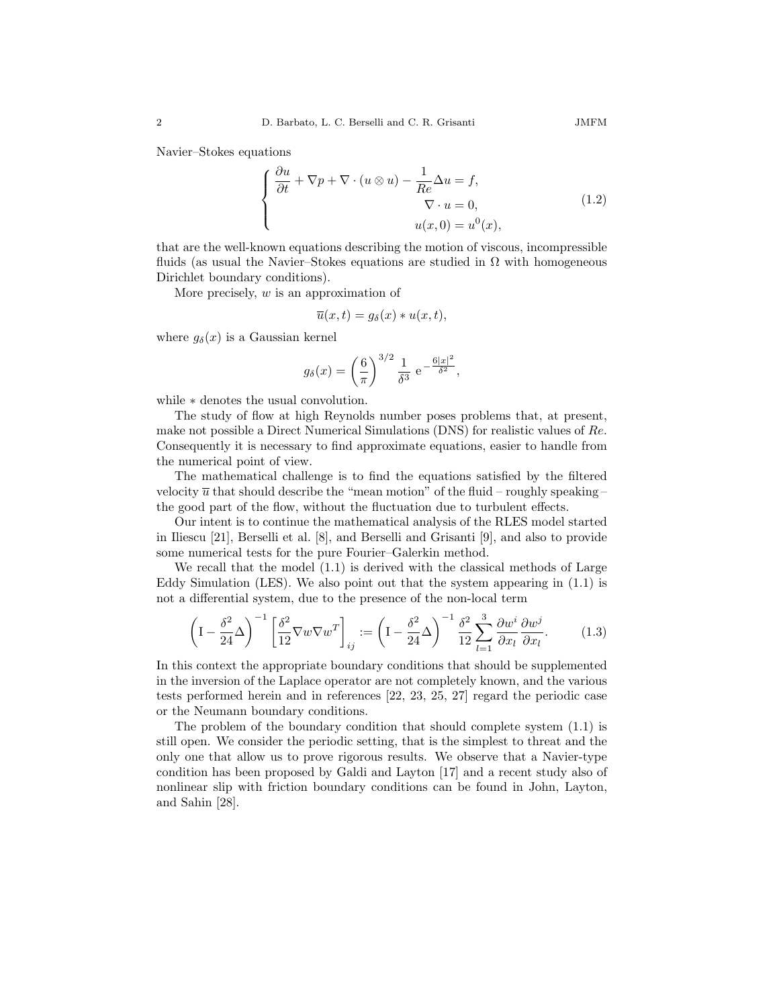Navier–Stokes equations

$$
\begin{cases}\n\frac{\partial u}{\partial t} + \nabla p + \nabla \cdot (u \otimes u) - \frac{1}{Re} \Delta u = f, \\
\nabla \cdot u = 0, \\
u(x, 0) = u^0(x),\n\end{cases}
$$
\n(1.2)

that are the well-known equations describing the motion of viscous, incompressible fluids (as usual the Navier–Stokes equations are studied in  $\Omega$  with homogeneous Dirichlet boundary conditions).

More precisely, w is an approximation of

$$
\overline{u}(x,t) = g_{\delta}(x) * u(x,t),
$$

where  $g_{\delta}(x)$  is a Gaussian kernel

$$
g_{\delta}(x) = \left(\frac{6}{\pi}\right)^{3/2} \frac{1}{\delta^3} e^{-\frac{6|x|^2}{\delta^2}},
$$

while ∗ denotes the usual convolution.

The study of flow at high Reynolds number poses problems that, at present, make not possible a Direct Numerical Simulations (DNS) for realistic values of Re. Consequently it is necessary to find approximate equations, easier to handle from the numerical point of view.

The mathematical challenge is to find the equations satisfied by the filtered velocity  $\overline{u}$  that should describe the "mean motion" of the fluid – roughly speaking – the good part of the flow, without the fluctuation due to turbulent effects.

Our intent is to continue the mathematical analysis of the RLES model started in Iliescu [21], Berselli et al. [8], and Berselli and Grisanti [9], and also to provide some numerical tests for the pure Fourier–Galerkin method.

We recall that the model (1.1) is derived with the classical methods of Large Eddy Simulation (LES). We also point out that the system appearing in  $(1.1)$  is not a differential system, due to the presence of the non-local term

$$
\left(\mathbf{I} - \frac{\delta^2}{24}\Delta\right)^{-1} \left[\frac{\delta^2}{12}\nabla w\nabla w^T\right]_{ij} := \left(\mathbf{I} - \frac{\delta^2}{24}\Delta\right)^{-1} \frac{\delta^2}{12} \sum_{l=1}^3 \frac{\partial w^i}{\partial x_l} \frac{\partial w^j}{\partial x_l}.
$$
 (1.3)

In this context the appropriate boundary conditions that should be supplemented in the inversion of the Laplace operator are not completely known, and the various tests performed herein and in references [22, 23, 25, 27] regard the periodic case or the Neumann boundary conditions.

The problem of the boundary condition that should complete system (1.1) is still open. We consider the periodic setting, that is the simplest to threat and the only one that allow us to prove rigorous results. We observe that a Navier-type condition has been proposed by Galdi and Layton [17] and a recent study also of nonlinear slip with friction boundary conditions can be found in John, Layton, and Sahin [28].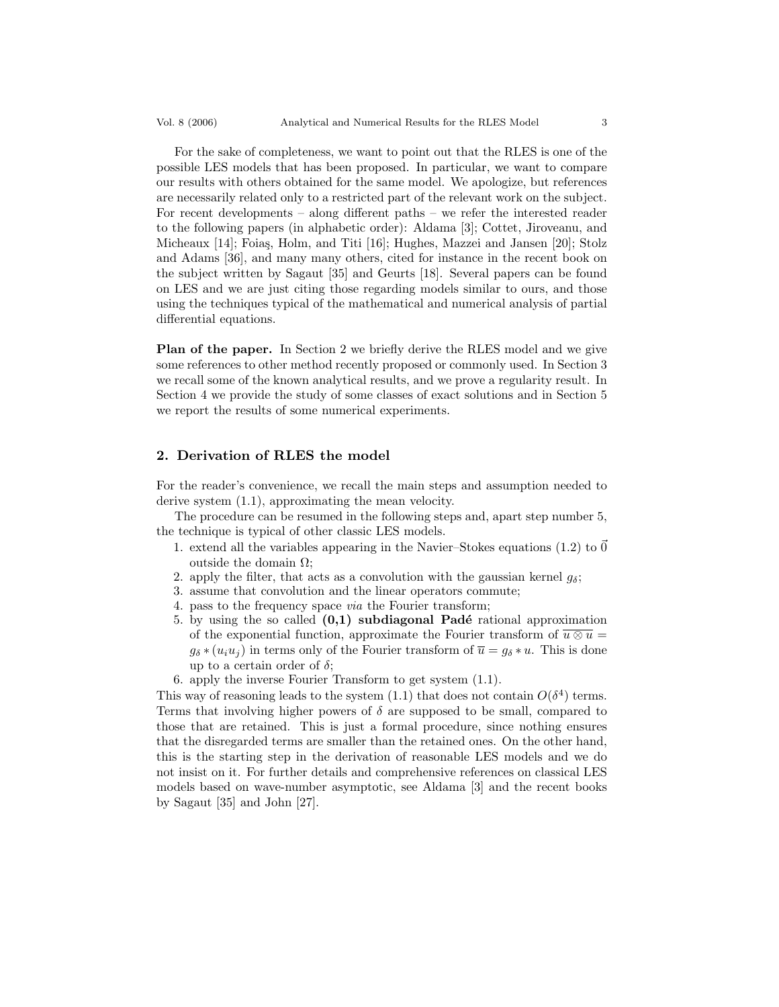For the sake of completeness, we want to point out that the RLES is one of the possible LES models that has been proposed. In particular, we want to compare our results with others obtained for the same model. We apologize, but references are necessarily related only to a restricted part of the relevant work on the subject. For recent developments – along different paths – we refer the interested reader to the following papers (in alphabetic order): Aldama [3]; Cottet, Jiroveanu, and Micheaux [14]; Foiaş, Holm, and Titi [16]; Hughes, Mazzei and Jansen [20]; Stolz and Adams [36], and many many others, cited for instance in the recent book on the subject written by Sagaut [35] and Geurts [18]. Several papers can be found on LES and we are just citing those regarding models similar to ours, and those using the techniques typical of the mathematical and numerical analysis of partial differential equations.

Plan of the paper. In Section 2 we briefly derive the RLES model and we give some references to other method recently proposed or commonly used. In Section 3 we recall some of the known analytical results, and we prove a regularity result. In Section 4 we provide the study of some classes of exact solutions and in Section 5 we report the results of some numerical experiments.

## 2. Derivation of RLES the model

For the reader's convenience, we recall the main steps and assumption needed to derive system (1.1), approximating the mean velocity.

The procedure can be resumed in the following steps and, apart step number 5, the technique is typical of other classic LES models.

- 1. extend all the variables appearing in the Navier–Stokes equations (1.2) to  $\vec{0}$ outside the domain  $Ω$ ;
- 2. apply the filter, that acts as a convolution with the gaussian kernel  $g_{\delta}$ ;
- 3. assume that convolution and the linear operators commute;
- 4. pass to the frequency space via the Fourier transform;
- 5. by using the so called  $(0,1)$  subdiagonal Padé rational approximation of the exponential function, approximate the Fourier transform of  $\overline{u \otimes u} =$  $g_{\delta} * (u_i u_j)$  in terms only of the Fourier transform of  $\overline{u} = g_{\delta} * u$ . This is done up to a certain order of  $\delta$ ;
- 6. apply the inverse Fourier Transform to get system (1.1).

This way of reasoning leads to the system  $(1.1)$  that does not contain  $O(\delta^4)$  terms. Terms that involving higher powers of  $\delta$  are supposed to be small, compared to those that are retained. This is just a formal procedure, since nothing ensures that the disregarded terms are smaller than the retained ones. On the other hand, this is the starting step in the derivation of reasonable LES models and we do not insist on it. For further details and comprehensive references on classical LES models based on wave-number asymptotic, see Aldama [3] and the recent books by Sagaut [35] and John [27].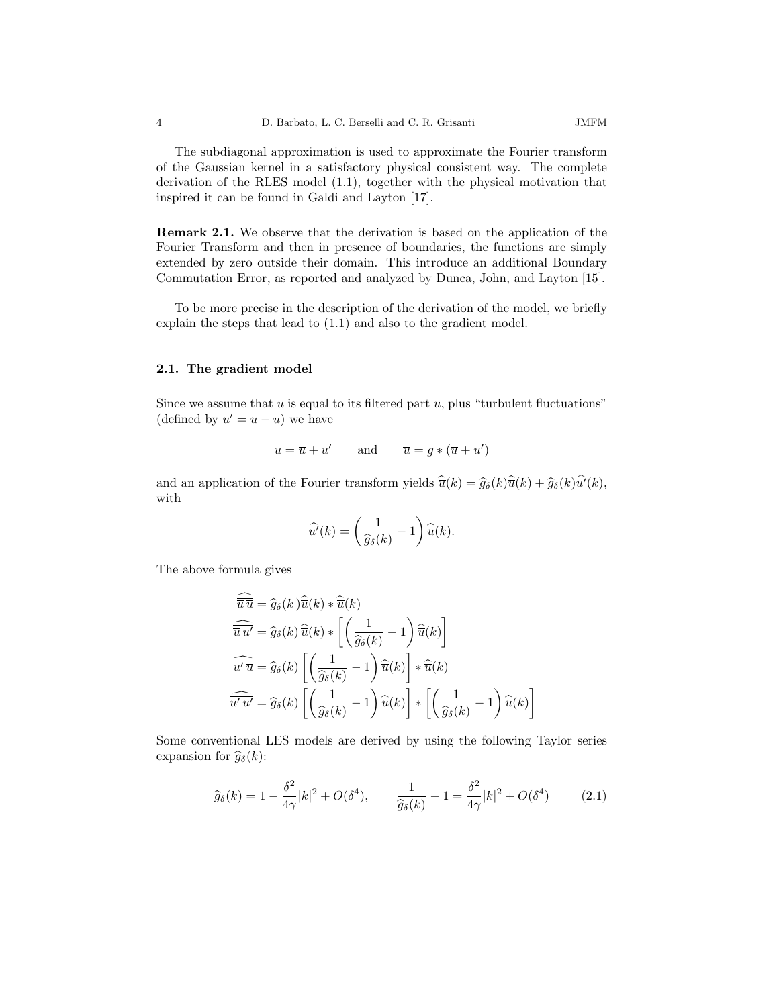The subdiagonal approximation is used to approximate the Fourier transform of the Gaussian kernel in a satisfactory physical consistent way. The complete derivation of the RLES model (1.1), together with the physical motivation that inspired it can be found in Galdi and Layton [17].

Remark 2.1. We observe that the derivation is based on the application of the Fourier Transform and then in presence of boundaries, the functions are simply extended by zero outside their domain. This introduce an additional Boundary Commutation Error, as reported and analyzed by Dunca, John, and Layton [15].

To be more precise in the description of the derivation of the model, we briefly explain the steps that lead to (1.1) and also to the gradient model.

### 2.1. The gradient model

Since we assume that u is equal to its filtered part  $\overline{u}$ , plus "turbulent fluctuations" (defined by  $u' = u - \overline{u}$ ) we have

$$
u = \overline{u} + u'
$$
 and  $\overline{u} = g * (\overline{u} + u')$ 

and an application of the Fourier transform yields  $\hat{\overline{u}}(k) = \hat{g}_{\delta}(k)\hat{\overline{u}}(k) + \hat{g}_{\delta}(k)\hat{u}'(k)$ , with

$$
\widehat{u'}(k) = \left(\frac{1}{\widehat{g}_{\delta}(k)} - 1\right) \widehat{\overline{u}}(k).
$$

The above formula gives

 $\overline{a}$ 

$$
\begin{aligned}\n\overline{\widehat{\overline{u}}\,\overline{u}} &= \widehat{g}_{\delta}(k)\,\widehat{\overline{u}}(k) * \widehat{\overline{u}}(k) \\
\overline{\widehat{\overline{u}}\,u'} &= \widehat{g}_{\delta}(k)\,\widehat{\overline{u}}(k) * \left[ \left( \frac{1}{\widehat{g}_{\delta}(k)} - 1 \right) \widehat{\overline{u}}(k) \right] \\
\overline{\widehat{u'}\,\overline{u}} &= \widehat{g}_{\delta}(k) \left[ \left( \frac{1}{\widehat{g}_{\delta}(k)} - 1 \right) \widehat{\overline{u}}(k) \right] * \widehat{\overline{u}}(k) \\
\overline{\widehat{u'}\,\overline{u'}} &= \widehat{g}_{\delta}(k) \left[ \left( \frac{1}{\widehat{g}_{\delta}(k)} - 1 \right) \widehat{\overline{u}}(k) \right] * \left[ \left( \frac{1}{\widehat{g}_{\delta}(k)} - 1 \right) \widehat{\overline{u}}(k) \right]\n\end{aligned}
$$

Some conventional LES models are derived by using the following Taylor series expansion for  $\hat{g}_{\delta}(k)$ :

$$
\widehat{g}_{\delta}(k) = 1 - \frac{\delta^2}{4\gamma}|k|^2 + O(\delta^4), \qquad \frac{1}{\widehat{g}_{\delta}(k)} - 1 = \frac{\delta^2}{4\gamma}|k|^2 + O(\delta^4) \tag{2.1}
$$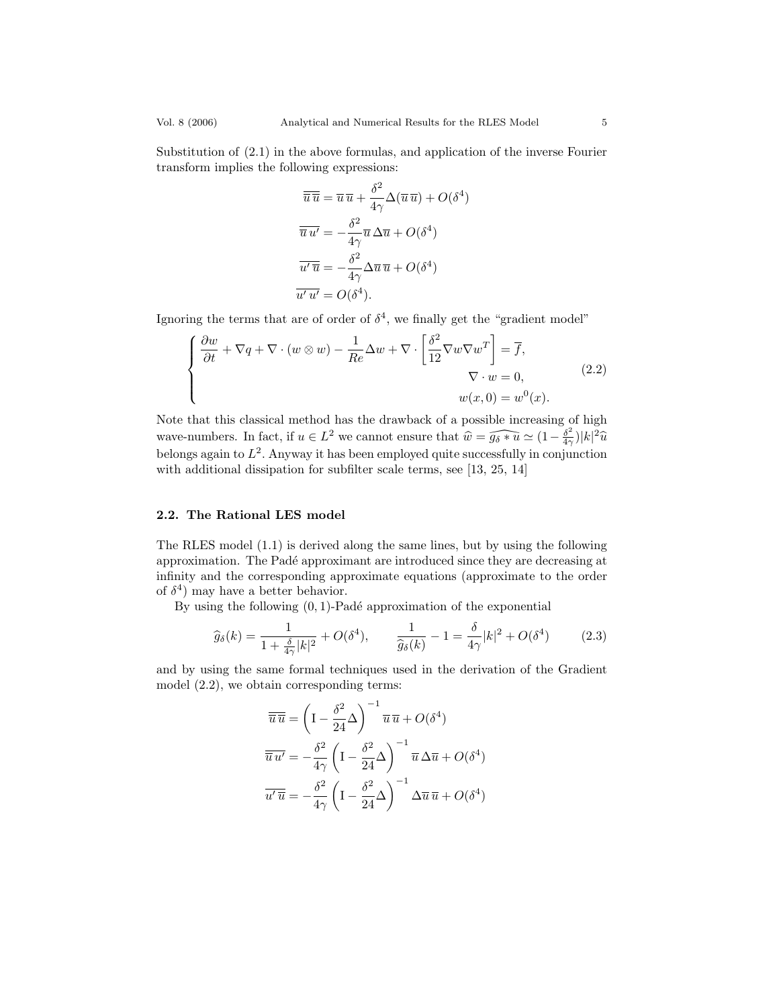Substitution of (2.1) in the above formulas, and application of the inverse Fourier transform implies the following expressions:

$$
\overline{\overline{u}\,\overline{u}} = \overline{u}\,\overline{u} + \frac{\delta^2}{4\gamma} \Delta(\overline{u}\,\overline{u}) + O(\delta^4)
$$

$$
\overline{\overline{u}\,u'} = -\frac{\delta^2}{4\gamma} \overline{u} \,\Delta \overline{u} + O(\delta^4)
$$

$$
\overline{u'\,\overline{u}} = -\frac{\delta^2}{4\gamma} \Delta \overline{u}\,\overline{u} + O(\delta^4)
$$

$$
\overline{u'u'} = O(\delta^4).
$$

Ignoring the terms that are of order of  $\delta^4$ , we finally get the "gradient model"

$$
\begin{cases}\n\frac{\partial w}{\partial t} + \nabla q + \nabla \cdot (w \otimes w) - \frac{1}{Re} \Delta w + \nabla \cdot \left[ \frac{\delta^2}{12} \nabla w \nabla w^T \right] = \overline{f}, \\
\nabla \cdot w = 0, \\
w(x, 0) = w^0(x).\n\end{cases}
$$
\n(2.2)

Note that this classical method has the drawback of a possible increasing of high wave-numbers. In fact, if  $u \in L^2$  we cannot ensure that  $\widehat{w} = \widehat{g_{\delta} * u} \simeq (1 - \frac{\delta^2}{4\gamma})$  $\frac{\delta^2}{4\gamma})|k|^2\widehat{u}$ belongs again to  $L^2$ . Anyway it has been employed quite successfully in conjunction with additional dissipation for subfilter scale terms, see [13, 25, 14]

## 2.2. The Rational LES model

The RLES model (1.1) is derived along the same lines, but by using the following approximation. The Pad´e approximant are introduced since they are decreasing at infinity and the corresponding approximate equations (approximate to the order of  $\delta^4$ ) may have a better behavior.

By using the following  $(0, 1)$ -Padé approximation of the exponential

$$
\widehat{g}_{\delta}(k) = \frac{1}{1 + \frac{\delta}{4\gamma}|k|^2} + O(\delta^4), \qquad \frac{1}{\widehat{g}_{\delta}(k)} - 1 = \frac{\delta}{4\gamma}|k|^2 + O(\delta^4) \tag{2.3}
$$

and by using the same formal techniques used in the derivation of the Gradient model (2.2), we obtain corresponding terms:

$$
\overline{u}\overline{u} = \left(I - \frac{\delta^2}{24}\Delta\right)^{-1}\overline{u}\,\overline{u} + O(\delta^4)
$$

$$
\overline{u}\,\overline{u'} = -\frac{\delta^2}{4\gamma}\left(I - \frac{\delta^2}{24}\Delta\right)^{-1}\overline{u}\,\Delta\overline{u} + O(\delta^4)
$$

$$
\overline{u'\overline{u}} = -\frac{\delta^2}{4\gamma}\left(I - \frac{\delta^2}{24}\Delta\right)^{-1}\Delta\overline{u}\,\overline{u} + O(\delta^4)
$$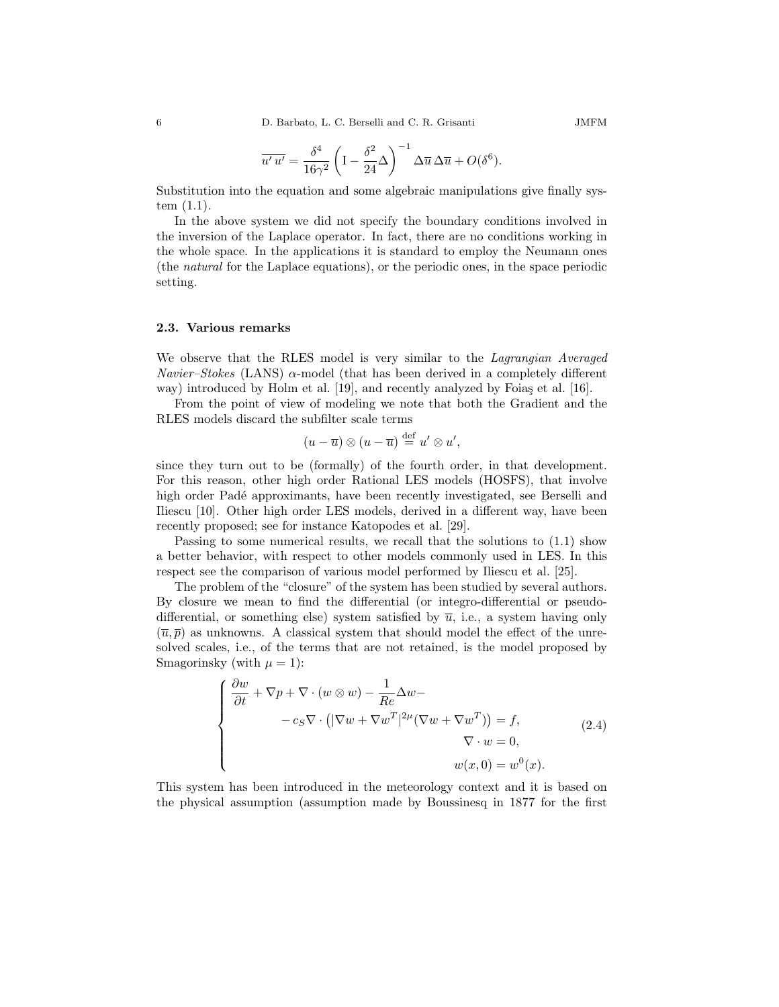$$
\overline{u' u'} = \frac{\delta^4}{16\gamma^2} \left( I - \frac{\delta^2}{24} \Delta \right)^{-1} \Delta \overline{u} \, \Delta \overline{u} + O(\delta^6).
$$

Substitution into the equation and some algebraic manipulations give finally system (1.1).

In the above system we did not specify the boundary conditions involved in the inversion of the Laplace operator. In fact, there are no conditions working in the whole space. In the applications it is standard to employ the Neumann ones (the natural for the Laplace equations), or the periodic ones, in the space periodic setting.

#### 2.3. Various remarks

We observe that the RLES model is very similar to the *Lagrangian Averaged Navier–Stokes* (LANS)  $\alpha$ -model (that has been derived in a completely different way) introduced by Holm et al.  $[19]$ , and recently analyzed by Foias et al.  $[16]$ .

From the point of view of modeling we note that both the Gradient and the RLES models discard the subfilter scale terms

$$
(u-\overline{u})\otimes (u-\overline{u})\stackrel{\text{def}}{=} u'\otimes u',
$$

since they turn out to be (formally) of the fourth order, in that development. For this reason, other high order Rational LES models (HOSFS), that involve high order Padé approximants, have been recently investigated, see Berselli and Iliescu [10]. Other high order LES models, derived in a different way, have been recently proposed; see for instance Katopodes et al. [29].

Passing to some numerical results, we recall that the solutions to (1.1) show a better behavior, with respect to other models commonly used in LES. In this respect see the comparison of various model performed by Iliescu et al. [25].

The problem of the "closure" of the system has been studied by several authors. By closure we mean to find the differential (or integro-differential or pseudodifferential, or something else) system satisfied by  $\overline{u}$ , i.e., a system having only  $(\overline{u}, \overline{p})$  as unknowns. A classical system that should model the effect of the unresolved scales, i.e., of the terms that are not retained, is the model proposed by Smagorinsky (with  $\mu = 1$ ):

$$
\begin{cases}\n\frac{\partial w}{\partial t} + \nabla p + \nabla \cdot (w \otimes w) - \frac{1}{Re} \Delta w - \\
\qquad - c_S \nabla \cdot (|\nabla w + \nabla w^T|^{2\mu} (\nabla w + \nabla w^T)) = f, \\
\qquad \qquad \nabla \cdot w = 0, \\
w(x, 0) = w^0(x).\n\end{cases} (2.4)
$$

This system has been introduced in the meteorology context and it is based on the physical assumption (assumption made by Boussinesq in 1877 for the first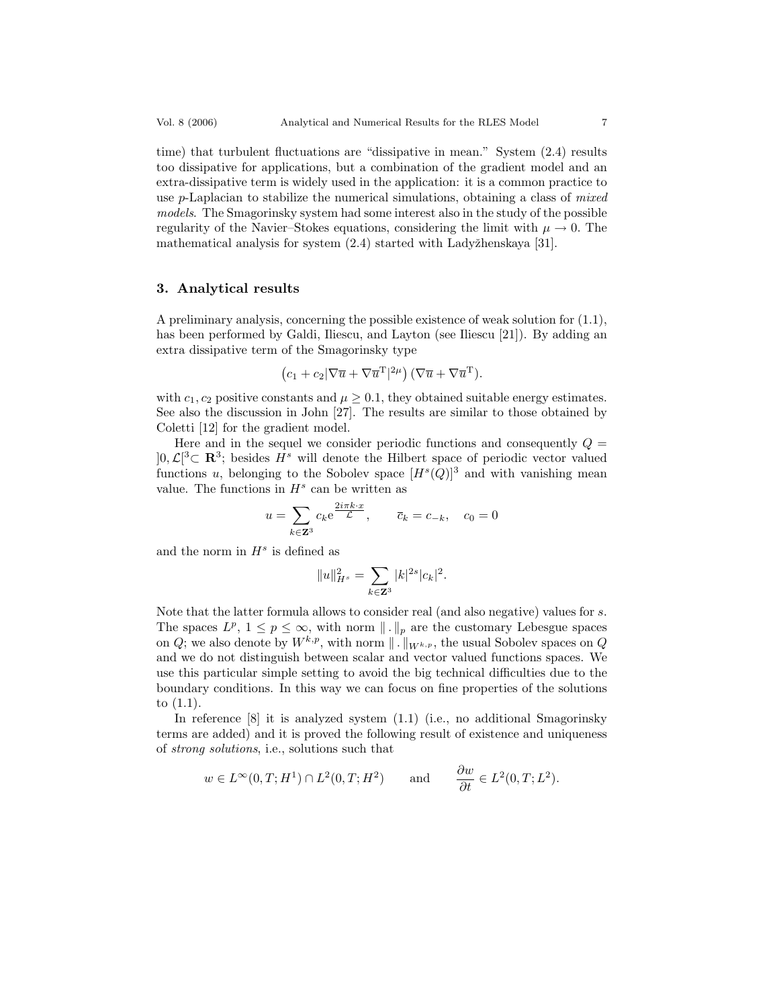time) that turbulent fluctuations are "dissipative in mean." System (2.4) results too dissipative for applications, but a combination of the gradient model and an extra-dissipative term is widely used in the application: it is a common practice to use p-Laplacian to stabilize the numerical simulations, obtaining a class of mixed models. The Smagorinsky system had some interest also in the study of the possible regularity of the Navier–Stokes equations, considering the limit with  $\mu \to 0$ . The mathematical analysis for system  $(2.4)$  started with Ladyžhenskaya [31].

## 3. Analytical results

A preliminary analysis, concerning the possible existence of weak solution for (1.1), has been performed by Galdi, Iliescu, and Layton (see Iliescu [21]). By adding an extra dissipative term of the Smagorinsky type

$$
(c_1 + c_2 |\nabla \overline{u} + \nabla \overline{u}^{\mathrm{T}}|^{2\mu}) (\nabla \overline{u} + \nabla \overline{u}^{\mathrm{T}}).
$$

with  $c_1, c_2$  positive constants and  $\mu \geq 0.1$ , they obtained suitable energy estimates. See also the discussion in John [27]. The results are similar to those obtained by Coletti [12] for the gradient model.

Here and in the sequel we consider periodic functions and consequently  $Q =$  $]0, \mathcal{L}[^3\subset \mathbf{R}^3$ ; besides  $H^s$  will denote the Hilbert space of periodic vector valued functions u, belonging to the Sobolev space  $[H<sup>s</sup>(Q)]<sup>3</sup>$  and with vanishing mean value. The functions in  $H^s$  can be written as

$$
u = \sum_{k \in \mathbf{Z}^3} c_k e^{\frac{2i\pi k \cdot x}{\mathcal{L}}}, \qquad \overline{c}_k = c_{-k}, \quad c_0 = 0
$$

and the norm in  $H^s$  is defined as

$$
||u||^2_{H^s} = \sum_{k \in \mathbf{Z}^3} |k|^{2s} |c_k|^2.
$$

Note that the latter formula allows to consider real (and also negative) values for s. The spaces  $L^p$ ,  $1 \leq p \leq \infty$ , with norm  $\|\cdot\|_p$  are the customary Lebesgue spaces on Q; we also denote by  $W^{k,p}$ , with norm  $\|\cdot\|_{W^{k,p}}$ , the usual Sobolev spaces on Q and we do not distinguish between scalar and vector valued functions spaces. We use this particular simple setting to avoid the big technical difficulties due to the boundary conditions. In this way we can focus on fine properties of the solutions to (1.1).

In reference [8] it is analyzed system (1.1) (i.e., no additional Smagorinsky terms are added) and it is proved the following result of existence and uniqueness of strong solutions, i.e., solutions such that

$$
w \in L^{\infty}(0,T;H^1) \cap L^2(0,T;H^2)
$$
 and  $\frac{\partial w}{\partial t} \in L^2(0,T;L^2)$ .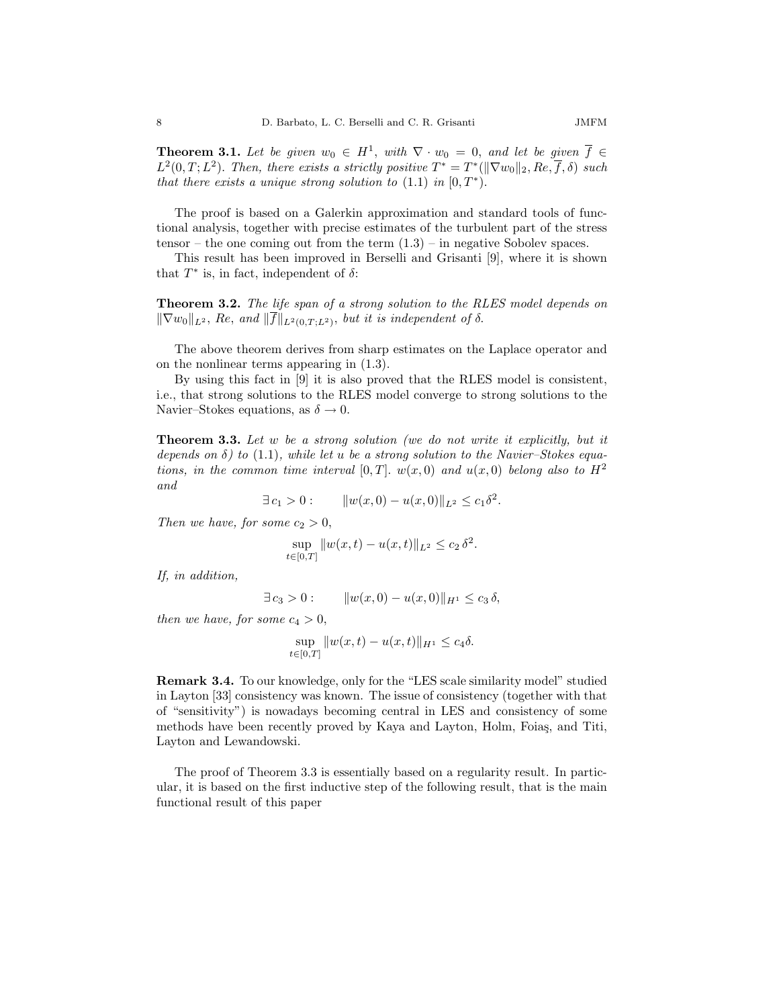**Theorem 3.1.** Let be given  $w_0 \in H^1$ , with  $\nabla \cdot w_0 = 0$ , and let be given  $\overline{f} \in$  $L^2(0,T;L^2)$ . Then, there exists a strictly positive  $T^* = T^*(\|\nabla w_0\|_2, Re, \overline{f}, \delta)$  such that there exists a unique strong solution to  $(1.1)$  in  $[0, T^*).$ 

The proof is based on a Galerkin approximation and standard tools of functional analysis, together with precise estimates of the turbulent part of the stress tensor – the one coming out from the term  $(1.3)$  – in negative Sobolev spaces.

This result has been improved in Berselli and Grisanti [9], where it is shown that  $T^*$  is, in fact, independent of  $\delta$ :

Theorem 3.2. The life span of a strong solution to the RLES model depends on  $\|\nabla w_0\|_{L^2}$ , Re, and  $\|f\|_{L^2(0,T;L^2)}$ , but it is independent of  $\delta$ .

The above theorem derives from sharp estimates on the Laplace operator and on the nonlinear terms appearing in (1.3).

By using this fact in [9] it is also proved that the RLES model is consistent, i.e., that strong solutions to the RLES model converge to strong solutions to the Navier–Stokes equations, as  $\delta \to 0$ .

Theorem 3.3. Let w be a strong solution (we do not write it explicitly, but it depends on  $\delta$ ) to (1.1), while let u be a strong solution to the Navier–Stokes equations, in the common time interval [0, T],  $w(x, 0)$  and  $u(x, 0)$  belong also to  $H<sup>2</sup>$ and

$$
\exists c_1 > 0:
$$
  $||w(x,0) - u(x,0)||_{L^2} \leq c_1 \delta^2$ .

Then we have, for some  $c_2 > 0$ ,

$$
\sup_{t \in [0,T]} \|w(x,t) - u(x,t)\|_{L^2} \le c_2 \delta^2.
$$

If, in addition,

 $\exists c_3 > 0 : \quad \|w(x, 0) - u(x, 0)\|_{H^1} \leq c_3 \delta,$ 

then we have, for some  $c_4 > 0$ ,

sup  $\sup_{t \in [0,T]} \|w(x,t) - u(x,t)\|_{H^1} \leq c_4 \delta.$ 

Remark 3.4. To our knowledge, only for the "LES scale similarity model" studied in Layton [33] consistency was known. The issue of consistency (together with that of "sensitivity") is nowadays becoming central in LES and consistency of some methods have been recently proved by Kaya and Layton, Holm, Foiaş, and Titi, Layton and Lewandowski.

The proof of Theorem 3.3 is essentially based on a regularity result. In particular, it is based on the first inductive step of the following result, that is the main functional result of this paper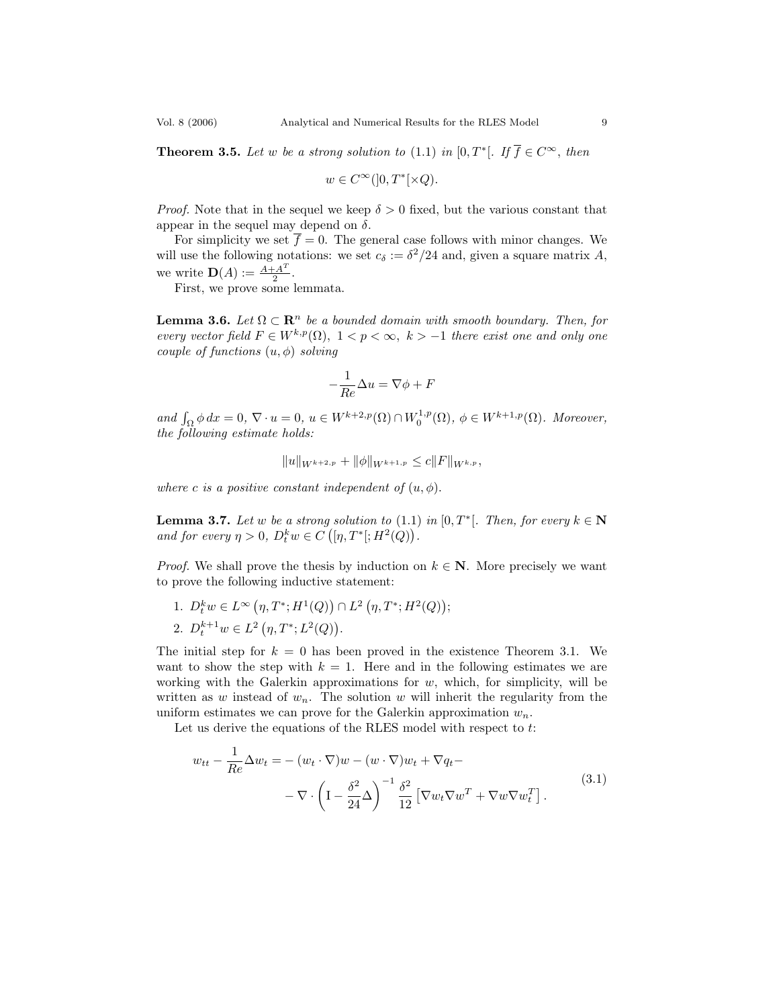**Theorem 3.5.** Let w be a strong solution to (1.1) in  $[0, T^*[$ . If  $\overline{f} \in C^{\infty}$ , then

$$
w \in C^{\infty}(]0,T^*[ \times Q).
$$

*Proof.* Note that in the sequel we keep  $\delta > 0$  fixed, but the various constant that appear in the sequel may depend on  $\delta$ .

For simplicity we set  $\overline{f} = 0$ . The general case follows with minor changes. We will use the following notations: we set  $c_{\delta} := \delta^2/24$  and, given a square matrix A, we write  $\mathbf{D}(A) := \frac{A + A^T}{2}$  $\frac{A^2}{2}$ .

First, we prove some lemmata.

**Lemma 3.6.** Let  $\Omega \subset \mathbb{R}^n$  be a bounded domain with smooth boundary. Then, for every vector field  $F \in W^{k,p}(\Omega)$ ,  $1 < p < \infty$ ,  $k > -1$  there exist one and only one couple of functions  $(u, \phi)$  solving

$$
-\frac{1}{Re}\Delta u = \nabla \phi + F
$$

and  $\int_{\Omega} \phi \, dx = 0$ ,  $\nabla \cdot u = 0$ ,  $u \in W^{k+2,p}(\Omega) \cap W_0^{1,p}(\Omega)$ ,  $\phi \in W^{k+1,p}(\Omega)$ . Moreover, the following estimate holds:

$$
||u||_{W^{k+2,p}} + ||\phi||_{W^{k+1,p}} \leq c||F||_{W^{k,p}},
$$

where c is a positive constant independent of  $(u, \phi)$ .

**Lemma 3.7.** Let w be a strong solution to  $(1.1)$  in  $[0, T^*]$ . Then, for every  $k \in \mathbb{N}$ and for every  $\eta > 0$ ,  $D_t^k w \in C([{\eta, T^*}]; H^2(Q))$ .

*Proof.* We shall prove the thesis by induction on  $k \in \mathbb{N}$ . More precisely we want to prove the following inductive statement:

1.  $D_t^k w \in L^{\infty}(\eta, T^*; H^1(Q)) \cap L^2(\eta, T^*; H^2(Q));$ 2.  $D_t^{k+1}w \in L^2(\eta, T^*; L^2(Q)).$ 

The initial step for  $k = 0$  has been proved in the existence Theorem 3.1. We want to show the step with  $k = 1$ . Here and in the following estimates we are working with the Galerkin approximations for  $w$ , which, for simplicity, will be written as w instead of  $w_n$ . The solution w will inherit the regularity from the uniform estimates we can prove for the Galerkin approximation  $w_n$ .

Let us derive the equations of the RLES model with respect to t:

$$
w_{tt} - \frac{1}{Re} \Delta w_t = -(w_t \cdot \nabla)w - (w \cdot \nabla)w_t + \nabla q_t -
$$
  

$$
- \nabla \cdot \left( I - \frac{\delta^2}{24} \Delta \right)^{-1} \frac{\delta^2}{12} \left[ \nabla w_t \nabla w^T + \nabla w \nabla w_t^T \right].
$$
 (3.1)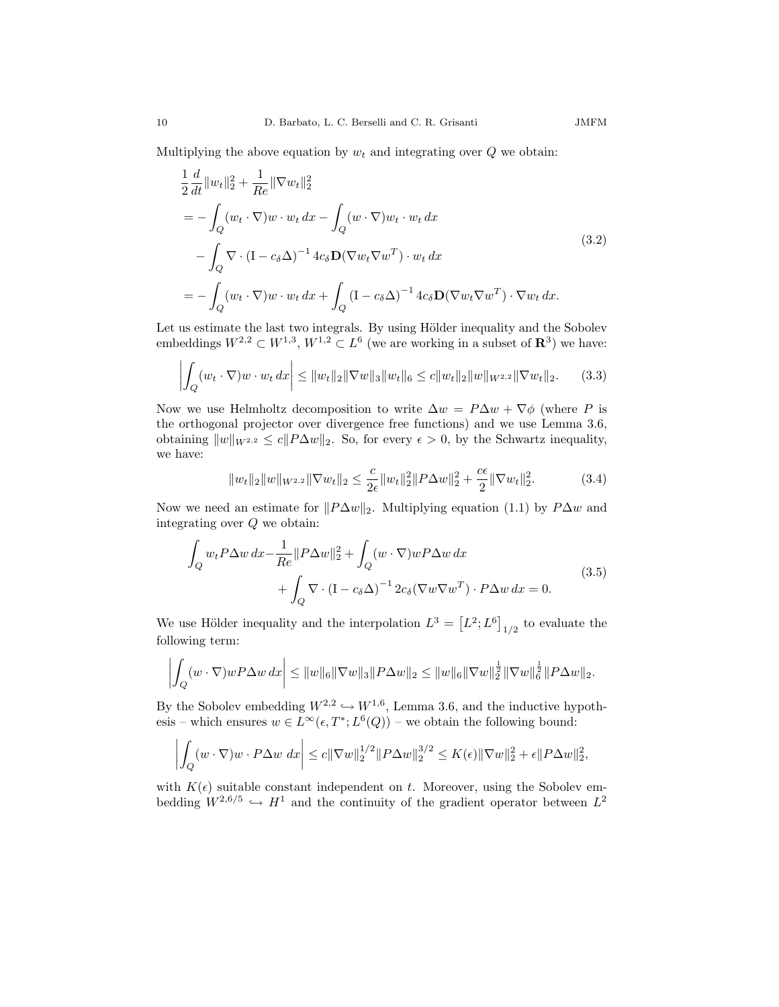Multiplying the above equation by  $w_t$  and integrating over  $Q$  we obtain:

$$
\frac{1}{2} \frac{d}{dt} ||w_t||_2^2 + \frac{1}{Re} ||\nabla w_t||_2^2
$$
\n
$$
= -\int_Q (w_t \cdot \nabla) w \cdot w_t dx - \int_Q (w \cdot \nabla) w_t \cdot w_t dx
$$
\n
$$
- \int_Q \nabla \cdot (\mathbf{I} - c_\delta \Delta)^{-1} 4c_\delta \mathbf{D} (\nabla w_t \nabla w^T) \cdot w_t dx
$$
\n
$$
= -\int_Q (w_t \cdot \nabla) w \cdot w_t dx + \int_Q (\mathbf{I} - c_\delta \Delta)^{-1} 4c_\delta \mathbf{D} (\nabla w_t \nabla w^T) \cdot \nabla w_t dx.
$$
\n(3.2)

Let us estimate the last two integrals. By using Hölder inequality and the Sobolev embeddings  $W^{2,2} \subset W^{1,3}$ ,  $W^{1,2} \subset L^6$  (we are working in a subset of  $\mathbb{R}^3$ ) we have:

$$
\left| \int_{Q} (w_t \cdot \nabla) w \cdot w_t \, dx \right| \leq \|w_t\|_2 \|\nabla w\|_3 \|w_t\|_6 \leq c \|w_t\|_2 \|w\|_{W^{2,2}} \|\nabla w_t\|_2. \tag{3.3}
$$

Now we use Helmholtz decomposition to write  $\Delta w = P \Delta w + \nabla \phi$  (where P is the orthogonal projector over divergence free functions) and we use Lemma 3.6, obtaining  $||w||_{W^{2,2}} \le c||P\Delta w||_2$ . So, for every  $\epsilon > 0$ , by the Schwartz inequality, we have:

$$
||w_t||_2||w||_{W^{2,2}}||\nabla w_t||_2 \le \frac{c}{2\epsilon}||w_t||_2^2||P\Delta w||_2^2 + \frac{c\epsilon}{2}||\nabla w_t||_2^2. \tag{3.4}
$$

Now we need an estimate for  $||P\Delta w||_2$ . Multiplying equation (1.1) by  $P\Delta w$  and integrating over Q we obtain:

$$
\int_{Q} w_t P \Delta w \, dx - \frac{1}{Re} ||P \Delta w||_2^2 + \int_{Q} (w \cdot \nabla) w P \Delta w \, dx \n+ \int_{Q} \nabla \cdot (\mathbf{I} - c_{\delta} \Delta)^{-1} 2c_{\delta} (\nabla w \nabla w^T) \cdot P \Delta w \, dx = 0.
$$
\n(3.5)

We use Hölder inequality and the interpolation  $L^3 = [L^2; L^6]_{1/2}$  to evaluate the following term:

$$
\left| \int_Q (w \cdot \nabla) w P \Delta w \, dx \right| \leq \|w\|_6 \|\nabla w\|_3 \|P \Delta w\|_2 \leq \|w\|_6 \|\nabla w\|_2^{\frac{1}{2}} \|\nabla w\|_6^{\frac{1}{2}} \|P \Delta w\|_2.
$$

By the Sobolev embedding  $W^{2,2} \hookrightarrow W^{1,6}$ , Lemma 3.6, and the inductive hypothesis – which ensures  $w \in L^{\infty}(\epsilon, T^*; L^6(Q))$  – we obtain the following bound:

$$
\left| \int_Q (w \cdot \nabla) w \cdot P \Delta w \, dx \right| \leq c \|\nabla w\|_2^{1/2} \|P \Delta w\|_2^{3/2} \leq K(\epsilon) \|\nabla w\|_2^2 + \epsilon \|P \Delta w\|_2^2,
$$

with  $K(\epsilon)$  suitable constant independent on t. Moreover, using the Sobolev embedding  $W^{2,6/5} \hookrightarrow H^1$  and the continuity of the gradient operator between  $L^2$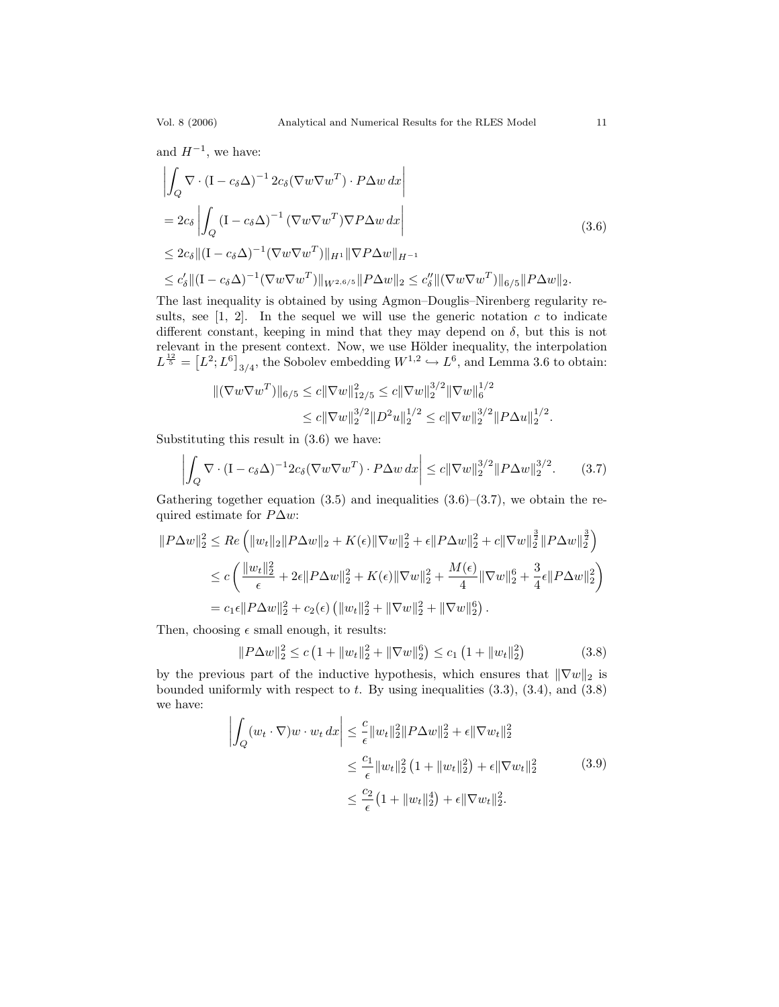and  $H^{-1}$ , we have:

$$
\left| \int_{Q} \nabla \cdot (\mathbf{I} - c_{\delta} \Delta)^{-1} 2c_{\delta} (\nabla w \nabla w^{T}) \cdot P \Delta w \, dx \right|
$$
\n
$$
= 2c_{\delta} \left| \int_{Q} (\mathbf{I} - c_{\delta} \Delta)^{-1} (\nabla w \nabla w^{T}) \nabla P \Delta w \, dx \right|
$$
\n
$$
\leq 2c_{\delta} \| (\mathbf{I} - c_{\delta} \Delta)^{-1} (\nabla w \nabla w^{T}) \|_{H^{1}} \| \nabla P \Delta w \|_{H^{-1}}
$$
\n
$$
\leq c'_{\delta} \| (\mathbf{I} - c_{\delta} \Delta)^{-1} (\nabla w \nabla w^{T}) \|_{W^{2,6/5}} \| P \Delta w \|_{2} \leq c''_{\delta} \| (\nabla w \nabla w^{T}) \|_{6/5} \| P \Delta w \|_{2}.
$$
\n(3.6)

The last inequality is obtained by using Agmon–Douglis–Nirenberg regularity results, see  $[1, 2]$ . In the sequel we will use the generic notation c to indicate different constant, keeping in mind that they may depend on  $\delta$ , but this is not relevant in the present context. Now, we use Hölder inequality, the interpolation  $L^{\frac{12}{5}} = [L^2; L^6]_{3/4}$ , the Sobolev embedding  $W^{1,2} \hookrightarrow L^6$ , and Lemma 3.6 to obtain:

$$
\begin{aligned} \|(\nabla w \nabla w^T)\|_{6/5} &\leq c \|\nabla w\|_{12/5}^2 \leq c \|\nabla w\|_2^{3/2} \|\nabla w\|_6^{1/2} \\ &\leq c \|\nabla w\|_2^{3/2} \|D^2 u\|_2^{1/2} \leq c \|\nabla w\|_2^{3/2} \|P\Delta u\|_2^{1/2} .\end{aligned}
$$

Substituting this result in (3.6) we have:

$$
\left| \int_{Q} \nabla \cdot (\mathbf{I} - c_{\delta} \Delta)^{-1} 2c_{\delta} (\nabla w \nabla w^{T}) \cdot P \Delta w \, dx \right| \leq c \|\nabla w\|_{2}^{3/2} \|P \Delta w\|_{2}^{3/2}.
$$
 (3.7)

Gathering together equation  $(3.5)$  and inequalities  $(3.6)$ – $(3.7)$ , we obtain the required estimate for  $P\Delta w$ :

$$
||P\Delta w||_2^2 \le Re \left( ||w_t||_2 ||P\Delta w||_2 + K(\epsilon) ||\nabla w||_2^2 + \epsilon ||P\Delta w||_2^2 + c ||\nabla w||_2^{\frac{3}{2}} ||P\Delta w||_2^{\frac{3}{2}} \right)
$$
  
\n
$$
\le c \left( \frac{||w_t||_2^2}{\epsilon} + 2\epsilon ||P\Delta w||_2^2 + K(\epsilon) ||\nabla w||_2^2 + \frac{M(\epsilon)}{4} ||\nabla w||_2^6 + \frac{3}{4} \epsilon ||P\Delta w||_2^2 \right)
$$
  
\n
$$
= c_1 \epsilon ||P\Delta w||_2^2 + c_2(\epsilon) \left( ||w_t||_2^2 + ||\nabla w||_2^2 + ||\nabla w||_2^6 \right).
$$

Then, choosing  $\epsilon$  small enough, it results:

$$
||P\Delta w||_2^2 \le c\left(1 + ||w_t||_2^2 + ||\nabla w||_2^6\right) \le c_1\left(1 + ||w_t||_2^2\right) \tag{3.8}
$$

by the previous part of the inductive hypothesis, which ensures that  $\|\nabla w\|_2$  is bounded uniformly with respect to  $t$ . By using inequalities  $(3.3)$ ,  $(3.4)$ , and  $(3.8)$ we have:

$$
\left| \int_{Q} (w_t \cdot \nabla) w \cdot w_t \, dx \right| \leq \frac{c}{\epsilon} \|w_t\|_2^2 \|P \Delta w\|_2^2 + \epsilon \|\nabla w_t\|_2^2
$$
  

$$
\leq \frac{c_1}{\epsilon} \|w_t\|_2^2 \left(1 + \|w_t\|_2^2\right) + \epsilon \|\nabla w_t\|_2^2 \tag{3.9}
$$
  

$$
\leq \frac{c_2}{\epsilon} \left(1 + \|w_t\|_2^4\right) + \epsilon \|\nabla w_t\|_2^2.
$$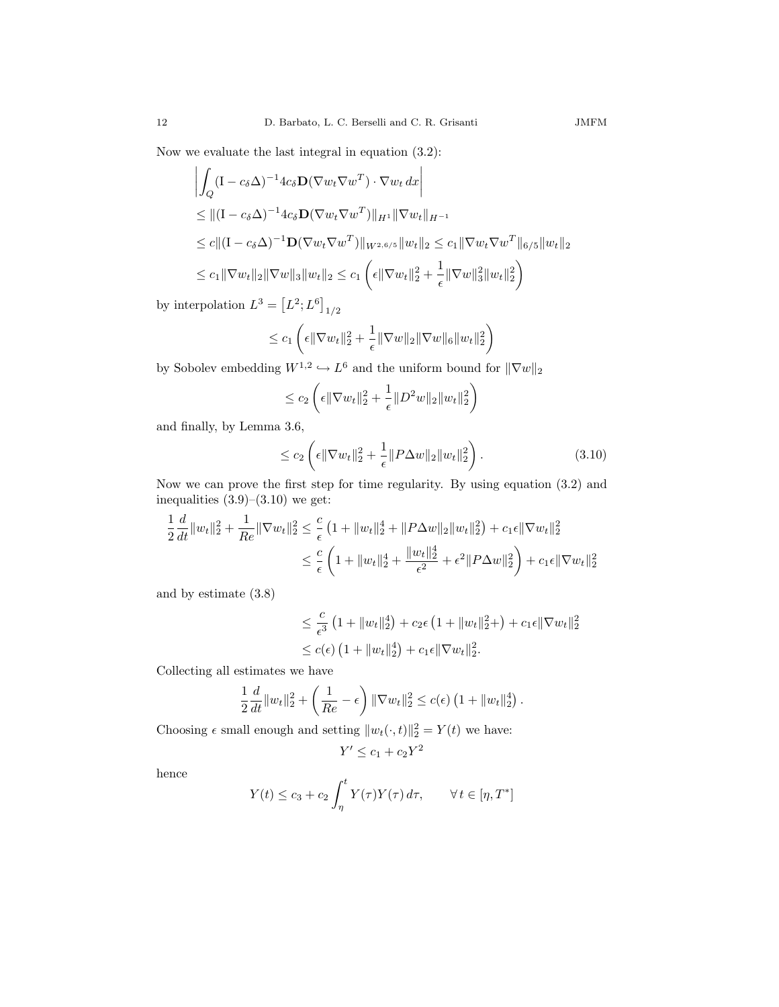Now we evaluate the last integral in equation (3.2):

$$
\left| \int_{Q} (\mathbf{I} - c_{\delta} \Delta)^{-1} 4c_{\delta} \mathbf{D} (\nabla w_{t} \nabla w^{T}) \cdot \nabla w_{t} dx \right|
$$
  
\n
$$
\leq ||(\mathbf{I} - c_{\delta} \Delta)^{-1} 4c_{\delta} \mathbf{D} (\nabla w_{t} \nabla w^{T}) ||_{H^{1}} || \nabla w_{t} ||_{H^{-1}}
$$
  
\n
$$
\leq c ||(\mathbf{I} - c_{\delta} \Delta)^{-1} \mathbf{D} (\nabla w_{t} \nabla w^{T}) ||_{W^{2,6/5}} ||w_{t}||_{2} \leq c_{1} || \nabla w_{t} \nabla w^{T} ||_{6/5} ||w_{t}||_{2}
$$
  
\n
$$
\leq c_{1} || \nabla w_{t} ||_{2} || \nabla w ||_{3} ||w_{t}||_{2} \leq c_{1} \left( \epsilon || \nabla w_{t} ||_{2}^{2} + \frac{1}{\epsilon} || \nabla w ||_{3}^{2} ||w_{t}||_{2}^{2} \right)
$$

by interpolation  $L^3 = [L^2; L^6]_{1/2}$ 

$$
\leq c_1 \left( \epsilon \|\nabla w_t\|_2^2 + \frac{1}{\epsilon} \|\nabla w\|_2 \|\nabla w\|_6 \|w_t\|_2^2 \right)
$$

by Sobolev embedding  $W^{1,2} \hookrightarrow L^6$  and the uniform bound for  $\|\nabla w\|_2$ 

$$
\leq c_2 \left( \epsilon \|\nabla w_t\|_2^2 + \frac{1}{\epsilon} \|D^2 w\|_2 \|w_t\|_2^2 \right)
$$

and finally, by Lemma 3.6,

$$
\leq c_2 \left( \epsilon \|\nabla w_t\|_2^2 + \frac{1}{\epsilon} \|P\Delta w\|_2 \|w_t\|_2^2 \right). \tag{3.10}
$$

Now we can prove the first step for time regularity. By using equation (3.2) and inequalities  $(3.9)$ – $(3.10)$  we get:

$$
\frac{1}{2}\frac{d}{dt}\|w_t\|_2^2 + \frac{1}{Re}\|\nabla w_t\|_2^2 \le \frac{c}{\epsilon}\left(1 + \|w_t\|_2^4 + \|P\Delta w\|_2\|w_t\|_2^2\right) + c_1\epsilon\|\nabla w_t\|_2^2
$$
  

$$
\le \frac{c}{\epsilon}\left(1 + \|w_t\|_2^4 + \frac{\|w_t\|_2^4}{\epsilon^2} + \epsilon^2\|P\Delta w\|_2^2\right) + c_1\epsilon\|\nabla w_t\|_2^2
$$

and by estimate (3.8)

$$
\leq \frac{c}{\epsilon^3} \left( 1 + \|w_t\|_2^4 \right) + c_2 \epsilon \left( 1 + \|w_t\|_2^2 + \right) + c_1 \epsilon \|\nabla w_t\|_2^2
$$
  

$$
\leq c(\epsilon) \left( 1 + \|w_t\|_2^4 \right) + c_1 \epsilon \|\nabla w_t\|_2^2.
$$

Collecting all estimates we have

$$
\frac{1}{2}\frac{d}{dt}\|w_t\|_2^2 + \left(\frac{1}{Re} - \epsilon\right)\|\nabla w_t\|_2^2 \le c(\epsilon) \left(1 + \|w_t\|_2^4\right).
$$

Choosing  $\epsilon$  small enough and setting  $||w_t(\cdot,t)||_2^2 = Y(t)$  we have:

$$
Y' \le c_1 + c_2 Y^2
$$

hence

$$
Y(t) \le c_3 + c_2 \int_{\eta}^{t} Y(\tau) Y(\tau) d\tau, \qquad \forall t \in [\eta, T^*]
$$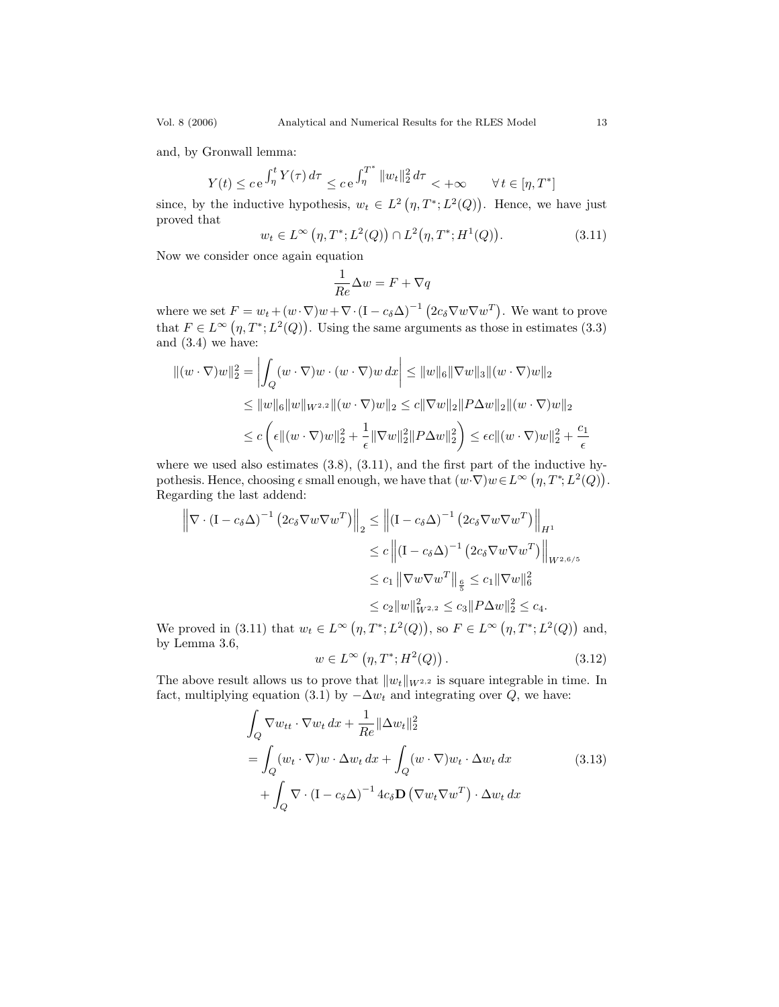and, by Gronwall lemma:

$$
Y(t) \le c e^{\int_{\eta}^t Y(\tau)\,d\tau}\le c e^{\int_{\eta}^{T^*} \|w_t\|_2^2\,d\tau}<+\infty \qquad \forall\, t\in [\eta,T^*]
$$

since, by the inductive hypothesis,  $w_t \in L^2(\eta, T^*; L^2(Q))$ . Hence, we have just proved that

$$
w_t \in L^{\infty}(\eta, T^*; L^2(Q)) \cap L^2(\eta, T^*; H^1(Q)).
$$
\n(3.11)

Now we consider once again equation

$$
\frac{1}{Re}\Delta w = F + \nabla q
$$

where we set  $F = w_t + (w \cdot \nabla)w + \nabla \cdot (\mathbf{I} - c_\delta \Delta)^{-1} (2c_\delta \nabla w \nabla w^T)$ . We want to prove that  $F \in L^{\infty}(\eta, T^*; L^2(Q))$ . Using the same arguments as those in estimates (3.3) and (3.4) we have:

$$
\begin{aligned} \|(w \cdot \nabla)w\|_2^2 &= \left| \int_Q (w \cdot \nabla)w \cdot (w \cdot \nabla)w \, dx \right| \le \|w\|_6 \|\nabla w\|_3 \|(w \cdot \nabla)w\|_2 \\ &\le \|w\|_6 \|w\|_{W^{2,2}} \|(w \cdot \nabla)w\|_2 \le c \|\nabla w\|_2 \|P\Delta w\|_2 \|(w \cdot \nabla)w\|_2 \\ &\le c \left( \epsilon \|(w \cdot \nabla)w\|_2^2 + \frac{1}{\epsilon} \|\nabla w\|_2^2 \|P\Delta w\|_2^2 \right) \le \epsilon c \|(w \cdot \nabla)w\|_2^2 + \frac{c_1}{\epsilon} \end{aligned}
$$

where we used also estimates  $(3.8)$ ,  $(3.11)$ , and the first part of the inductive hypothesis. Hence, choosing  $\epsilon$  small enough, we have that  $(w \cdot \nabla) w \in L^{\infty}(\eta, T^*, L^2(Q)).$ Regarding the last addend:

$$
\left\| \nabla \cdot (\mathbf{I} - c_{\delta} \Delta)^{-1} \left( 2c_{\delta} \nabla w \nabla w^{T} \right) \right\|_{2} \leq \left\| (\mathbf{I} - c_{\delta} \Delta)^{-1} \left( 2c_{\delta} \nabla w \nabla w^{T} \right) \right\|_{H^{1}}
$$
  
\n
$$
\leq c \left\| (\mathbf{I} - c_{\delta} \Delta)^{-1} \left( 2c_{\delta} \nabla w \nabla w^{T} \right) \right\|_{W^{2,6/5}}
$$
  
\n
$$
\leq c_{1} \left\| \nabla w \nabla w^{T} \right\|_{\frac{6}{5}} \leq c_{1} \left\| \nabla w \right\|_{6}^{2}
$$
  
\n
$$
\leq c_{2} \left\| w \right\|_{W^{2,2}}^{2} \leq c_{3} \left\| P \Delta w \right\|_{2}^{2} \leq c_{4}.
$$

We proved in (3.11) that  $w_t \in L^{\infty}(\eta, T^*; L^2(Q))$ , so  $F \in L^{\infty}(\eta, T^*; L^2(Q))$  and, by Lemma 3.6,

$$
w \in L^{\infty}(\eta, T^*; H^2(Q)).
$$
\n(3.12)

The above result allows us to prove that  $||w_t||_{W^{2,2}}$  is square integrable in time. In fact, multiplying equation (3.1) by  $-\Delta w_t$  and integrating over Q, we have:

$$
\int_{Q} \nabla w_{tt} \cdot \nabla w_{t} dx + \frac{1}{Re} \|\Delta w_{t}\|_{2}^{2}
$$
\n
$$
= \int_{Q} (w_{t} \cdot \nabla) w \cdot \Delta w_{t} dx + \int_{Q} (w \cdot \nabla) w_{t} \cdot \Delta w_{t} dx
$$
\n
$$
+ \int_{Q} \nabla \cdot (\mathbf{I} - c_{\delta} \Delta)^{-1} 4 c_{\delta} \mathbf{D} (\nabla w_{t} \nabla w^{T}) \cdot \Delta w_{t} dx
$$
\n(3.13)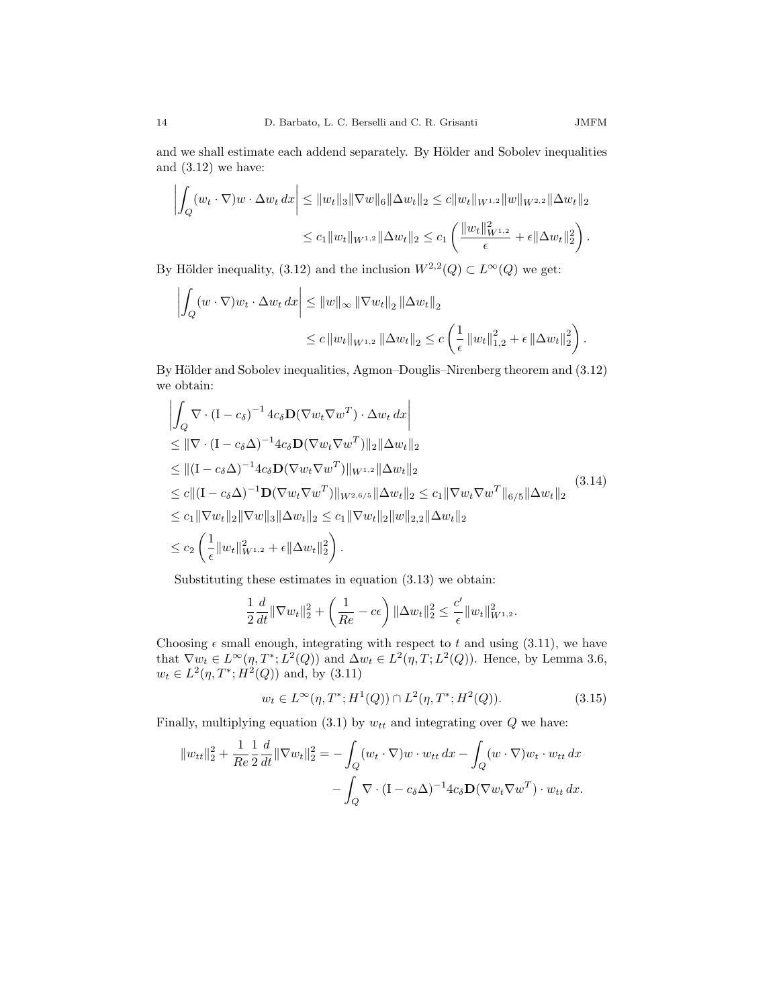and we shall estimate each addend separately. By Hölder and Sobolev inequalities and  $(3.12)$  we have:

$$
\left| \int_{Q} (w_t \cdot \nabla) w \cdot \Delta w_t \, dx \right| \leq \|w_t\|_3 \|\nabla w\|_6 \|\Delta w_t\|_2 \leq c \|w_t\|_{W^{1,2}} \|w\|_{W^{2,2}} \|\Delta w_t\|_2
$$
  

$$
\leq c_1 \|w_t\|_{W^{1,2}} \|\Delta w_t\|_2 \leq c_1 \left( \frac{\|w_t\|_{W^{1,2}}^2}{\epsilon} + \epsilon \|\Delta w_t\|_2^2 \right).
$$

By Hölder inequality, (3.12) and the inclusion  $W^{2,2}(Q) \subset L^{\infty}(Q)$  we get:

$$
\left| \int_{Q} (w \cdot \nabla) w_t \cdot \Delta w_t \, dx \right| \leq \|w\|_{\infty} \|\nabla w_t\|_2 \|\Delta w_t\|_2
$$
  

$$
\leq c \|w_t\|_{W^{1,2}} \|\Delta w_t\|_2 \leq c \left(\frac{1}{\epsilon} \|w_t\|_{1,2}^2 + \epsilon \|\Delta w_t\|_2^2\right).
$$

By Hölder and Sobolev inequalities, Agmon–Douglis–Nirenberg theorem and (3.12) we obtain:

$$
\left| \int_{Q} \nabla \cdot (\mathbf{I} - c_{\delta})^{-1} 4c_{\delta} \mathbf{D} (\nabla w_{t} \nabla w^{T}) \cdot \Delta w_{t} dx \right|
$$
\n
$$
\leq \|\nabla \cdot (\mathbf{I} - c_{\delta} \Delta)^{-1} 4c_{\delta} \mathbf{D} (\nabla w_{t} \nabla w^{T})\|_{2} \|\Delta w_{t}\|_{2}
$$
\n
$$
\leq \|(\mathbf{I} - c_{\delta} \Delta)^{-1} 4c_{\delta} \mathbf{D} (\nabla w_{t} \nabla w^{T})\|_{W^{1,2}} \|\Delta w_{t}\|_{2}
$$
\n
$$
\leq c \|( \mathbf{I} - c_{\delta} \Delta)^{-1} \mathbf{D} (\nabla w_{t} \nabla w^{T})\|_{W^{2,6/5}} \|\Delta w_{t}\|_{2} \leq c_{1} \|\nabla w_{t} \nabla w^{T}\|_{6/5} \|\Delta w_{t}\|_{2}
$$
\n
$$
\leq c_{1} \|\nabla w_{t}\|_{2} \|\nabla w\|_{3} \|\Delta w_{t}\|_{2} \leq c_{1} \|\nabla w_{t}\|_{2} \|w\|_{2,2} \|\Delta w_{t}\|_{2}
$$
\n
$$
\leq c_{2} \left( \frac{1}{\epsilon} \|w_{t}\|_{W^{1,2}}^{2} + \epsilon \|\Delta w_{t}\|_{2}^{2} \right).
$$
\n(3.14)

Substituting these estimates in equation (3.13) we obtain:

$$
\frac{1}{2}\frac{d}{dt}\|\nabla w_t\|_2^2 + \left(\frac{1}{Re} - c\epsilon\right)\|\Delta w_t\|_2^2 \le \frac{c'}{\epsilon}\|w_t\|_{W^{1,2}}^2.
$$

Choosing  $\epsilon$  small enough, integrating with respect to t and using (3.11), we have that  $\nabla w_t \in L^{\infty}(\eta, T^*; L^2(Q))$  and  $\Delta w_t \in L^2(\eta, T; L^2(Q))$ . Hence, by Lemma 3.6,  $w_t \in L^2(\eta, T^*; H^2(Q))$  and, by (3.11)

$$
w_t \in L^{\infty}(\eta, T^*; H^1(Q)) \cap L^2(\eta, T^*; H^2(Q)).
$$
\n(3.15)

Finally, multiplying equation (3.1) by  $w_{tt}$  and integrating over  $Q$  we have:

$$
||w_{tt}||_2^2 + \frac{1}{Re} \frac{1}{2} \frac{d}{dt} ||\nabla w_t||_2^2 = -\int_Q (w_t \cdot \nabla) w \cdot w_{tt} dx - \int_Q (w \cdot \nabla) w_t \cdot w_{tt} dx
$$

$$
- \int_Q \nabla \cdot (\mathbf{I} - c_\delta \Delta)^{-1} 4c_\delta \mathbf{D} (\nabla w_t \nabla w^T) \cdot w_{tt} dx.
$$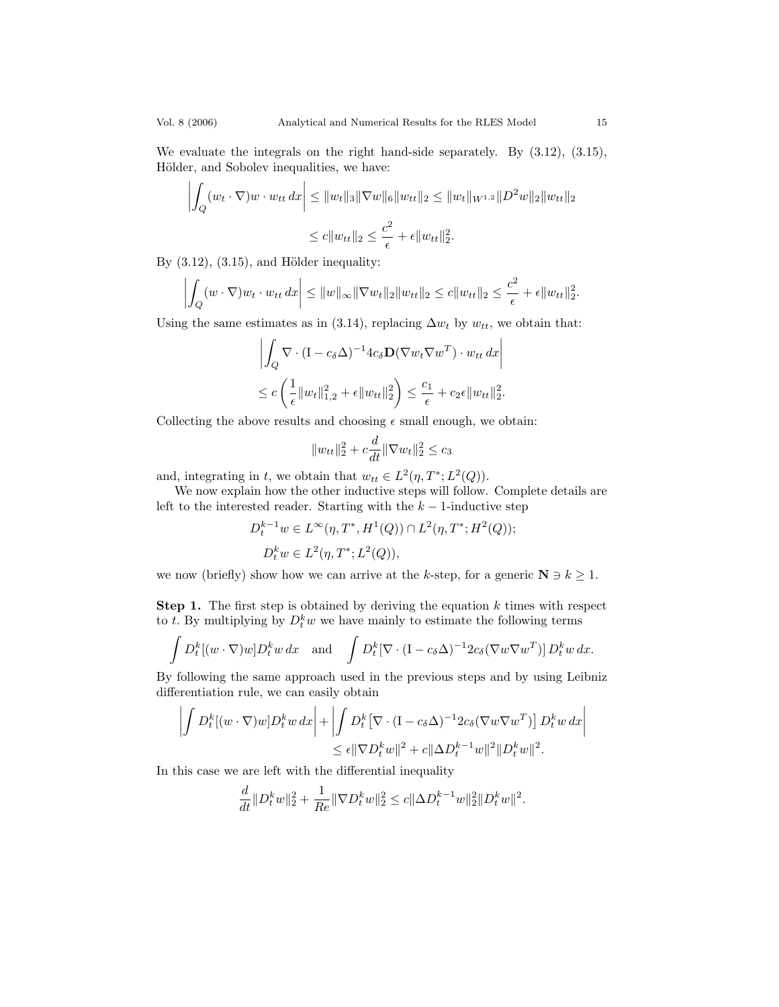We evaluate the integrals on the right hand-side separately. By (3.12), (3.15), Hölder, and Sobolev inequalities, we have:

$$
\left| \int_{Q} (w_t \cdot \nabla) w \cdot w_{tt} \, dx \right| \leq \|w_t\|_3 \|\nabla w\|_6 \|w_{tt}\|_2 \leq \|w_t\|_{W^{1,2}} \|D^2 w\|_2 \|w_{tt}\|_2
$$
  

$$
\leq c \|w_{tt}\|_2 \leq \frac{c^2}{\epsilon} + \epsilon \|w_{tt}\|_2^2.
$$

By  $(3.12)$ ,  $(3.15)$ , and Hölder inequality:

$$
\left| \int_{Q} (w \cdot \nabla) w_t \cdot w_{tt} \, dx \right| \leq \|w\|_{\infty} \|\nabla w_t\|_{2} \|w_{tt}\|_{2} \leq c \|w_{tt}\|_{2} \leq \frac{c^2}{\epsilon} + \epsilon \|w_{tt}\|_{2}^{2}.
$$

Using the same estimates as in (3.14), replacing  $\Delta w_t$  by  $w_{tt}$ , we obtain that:

$$
\left| \int_{Q} \nabla \cdot (\mathbf{I} - c_{\delta} \Delta)^{-1} 4c_{\delta} \mathbf{D} (\nabla w_{t} \nabla w^{T}) \cdot w_{tt} dx \right|
$$
  

$$
\leq c \left( \frac{1}{\epsilon} \|w_{t}\|_{1,2}^{2} + \epsilon \|w_{tt}\|_{2}^{2} \right) \leq \frac{c_{1}}{\epsilon} + c_{2} \epsilon \|w_{tt}\|_{2}^{2}.
$$

Collecting the above results and choosing  $\epsilon$  small enough, we obtain:

$$
||w_{tt}||_2^2 + c\frac{d}{dt}||\nabla w_t||_2^2 \le c_3
$$

and, integrating in t, we obtain that  $w_{tt} \in L^2(\eta, T^*; L^2(Q)).$ 

We now explain how the other inductive steps will follow. Complete details are left to the interested reader. Starting with the  $k-1$ -inductive step

$$
D_t^{k-1}w \in L^{\infty}(\eta, T^*, H^1(Q)) \cap L^2(\eta, T^*; H^2(Q));
$$
  

$$
D_t^kw \in L^2(\eta, T^*; L^2(Q)),
$$

we now (briefly) show how we can arrive at the k-step, for a generic  $N \ni k \geq 1$ .

**Step 1.** The first step is obtained by deriving the equation  $k$  times with respect to t. By multiplying by  $D_t^k w$  we have mainly to estimate the following terms

$$
\int D_t^k [(w \cdot \nabla) w] D_t^k w \, dx \quad \text{and} \quad \int D_t^k [\nabla \cdot (\mathbf{I} - c_\delta \Delta)^{-1} 2 c_\delta (\nabla w \nabla w^T)] D_t^k w \, dx.
$$

By following the same approach used in the previous steps and by using Leibniz differentiation rule, we can easily obtain

$$
\left| \int D_t^k [(w \cdot \nabla) w] D_t^k w \, dx \right| + \left| \int D_t^k [\nabla \cdot (\mathbf{I} - c_\delta \Delta)^{-1} 2c_\delta (\nabla w \nabla w^T)] D_t^k w \, dx \right|
$$
  

$$
\leq \epsilon ||\nabla D_t^k w||^2 + c ||\Delta D_t^{k-1} w||^2 ||D_t^k w||^2.
$$

In this case we are left with the differential inequality

$$
\frac{d}{dt}||D_t^kw||_2^2 + \frac{1}{Re}||\nabla D_t^kw||_2^2 \le c||\Delta D_t^{k-1}w||_2^2||D_t^kw||^2.
$$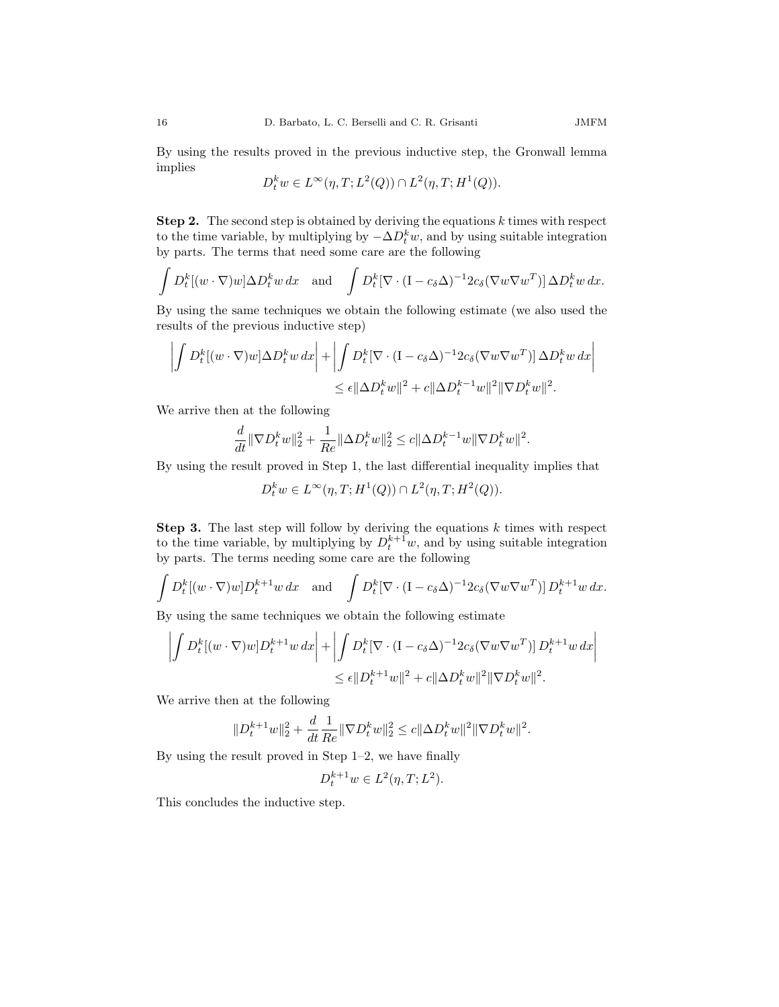By using the results proved in the previous inductive step, the Gronwall lemma implies

$$
D_t^k w \in L^{\infty}(\eta, T; L^2(Q)) \cap L^2(\eta, T; H^1(Q)).
$$

**Step 2.** The second step is obtained by deriving the equations  $k$  times with respect to the time variable, by multiplying by  $-\Delta D_t^k w$ , and by using suitable integration by parts. The terms that need some care are the following

$$
\int D_t^k [(w \cdot \nabla) w] \Delta D_t^k w \, dx \quad \text{and} \quad \int D_t^k [\nabla \cdot (\mathbf{I} - c_\delta \Delta)^{-1} 2c_\delta (\nabla w \nabla w^T)] \Delta D_t^k w \, dx.
$$

By using the same techniques we obtain the following estimate (we also used the results of the previous inductive step)

$$
\left| \int D_t^k [(w \cdot \nabla) w] \Delta D_t^k w \, dx \right| + \left| \int D_t^k [\nabla \cdot (\mathbf{I} - c_\delta \Delta)^{-1} 2c_\delta (\nabla w \nabla w^T)] \, \Delta D_t^k w \, dx \right|
$$
  

$$
\leq \epsilon ||\Delta D_t^k w||^2 + c ||\Delta D_t^{k-1} w||^2 ||\nabla D_t^k w||^2.
$$

We arrive then at the following

$$
\frac{d}{dt} \|\nabla D_t^k w\|_2^2 + \frac{1}{Re} \|\Delta D_t^k w\|_2^2 \le c \|\Delta D_t^{k-1} w \|\nabla D_t^k w\|^2.
$$

By using the result proved in Step 1, the last differential inequality implies that

 $D_t^k w \in L^{\infty}(\eta, T; H^1(Q)) \cap L^2(\eta, T; H^2(Q)).$ 

**Step 3.** The last step will follow by deriving the equations  $k$  times with respect to the time variable, by multiplying by  $D_t^{k+1}w$ , and by using suitable integration by parts. The terms needing some care are the following

$$
\int D_t^k [(w \cdot \nabla) w] D_t^{k+1} w \, dx \quad \text{and} \quad \int D_t^k [\nabla \cdot (\mathbf{I} - c_\delta \Delta)^{-1} 2c_\delta (\nabla w \nabla w^T)] D_t^{k+1} w \, dx.
$$

By using the same techniques we obtain the following estimate

$$
\left| \int D_t^k [(w \cdot \nabla) w] D_t^{k+1} w \, dx \right| + \left| \int D_t^k [\nabla \cdot (\mathbf{I} - c_\delta \Delta)^{-1} 2c_\delta (\nabla w \nabla w^T)] D_t^{k+1} w \, dx \right|
$$
  

$$
\leq \epsilon ||D_t^{k+1} w||^2 + c ||\Delta D_t^k w||^2 ||\nabla D_t^k w||^2.
$$

We arrive then at the following

$$
||D_t^{k+1}w||_2^2 + \frac{d}{dt}\frac{1}{Re}\|\nabla D_t^kw\|_2^2 \leq c||\Delta D_t^kw||^2||\nabla D_t^kw||^2.
$$

By using the result proved in Step 1–2, we have finally

$$
D_t^{k+1}w \in L^2(\eta, T; L^2).
$$

This concludes the inductive step.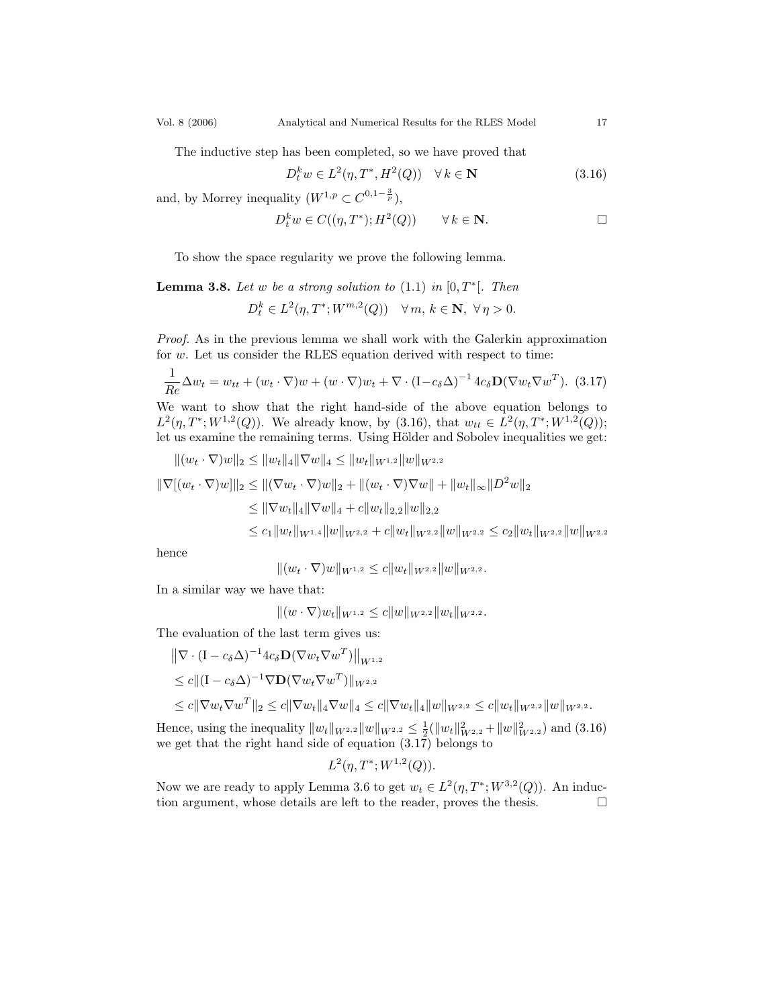$$
D_t^k w \in L^2(\eta, T^*, H^2(Q)) \quad \forall \, k \in \mathbf{N} \tag{3.16}
$$

and, by Morrey inequality  $(W^{1,p} \subset C^{0,1-\frac{3}{p}})$ ,

$$
D_t^k w \in C((\eta, T^*); H^2(Q)) \qquad \forall \, k \in \mathbb{N}.\tag{}
$$

To show the space regularity we prove the following lemma.

**Lemma 3.8.** Let w be a strong solution to  $(1.1)$  in  $[0, T^*]$ . Then  $D_t^k \in L^2(\eta, T^*; W^{m,2}(Q)) \quad \forall \, m, \, k \in \mathbb{N}, \, \forall \, \eta > 0.$ 

Proof. As in the previous lemma we shall work with the Galerkin approximation for w. Let us consider the RLES equation derived with respect to time:

$$
\frac{1}{Re}\Delta w_t = w_{tt} + (w_t \cdot \nabla)w + (w \cdot \nabla)w_t + \nabla \cdot (\mathbf{I} - c_\delta \Delta)^{-1} 4c_\delta \mathbf{D} (\nabla w_t \nabla w^T). \tag{3.17}
$$

We want to show that the right hand-side of the above equation belongs to  $L^2(\eta, T^*; W^{1,2}(Q))$ . We already know, by (3.16), that  $w_{tt} \in L^2(\eta, T^*; W^{1,2}(Q));$ let us examine the remaining terms. Using Hölder and Sobolev inequalities we get:

$$
||(w_t \cdot \nabla)w||_2 \le ||w_t||_4 ||\nabla w||_4 \le ||w_t||_{W^{1,2}} ||w||_{W^{2,2}}
$$
  

$$
||\nabla[(w_t \cdot \nabla)w]||_2 \le ||(\nabla w_t \cdot \nabla)w||_2 + ||(w_t \cdot \nabla)\nabla w|| + ||w_t||_{\infty} ||D^2w||_2
$$
  

$$
\le ||\nabla w_t||_4 ||\nabla w||_4 + c||w_t||_{2,2} ||w||_{2,2}
$$
  

$$
\le c_1 ||w_t||_{W^{1,4}} ||w||_{W^{2,2}} + c||w_t||_{W^{2,2}} ||w||_{W^{2,2}} \le c_2 ||w_t||_{W^{2,2}} ||w||_{W^{2,2}}
$$

hence

 $||(w_t \cdot \nabla)w||_{W^{1,2}} \leq c||w_t||_{W^{2,2}}||w||_{W^{2,2}}.$ 

In a similar way we have that:

 $||(w \cdot \nabla)w_t||_{W^{1,2}} \leq c||w||_{W^{2,2}}||w_t||_{W^{2,2}}.$ 

The evaluation of the last term gives us:

$$
\|\nabla \cdot (\mathbf{I} - c_{\delta} \Delta)^{-1} 4c_{\delta} \mathbf{D} (\nabla w_t \nabla w^T) \|_{W^{1,2}} \n\leq c \| (\mathbf{I} - c_{\delta} \Delta)^{-1} \nabla \mathbf{D} (\nabla w_t \nabla w^T) \|_{W^{2,2}} \n\leq c \| \nabla w_t \nabla w^T \|_2 \leq c \| \nabla w_t \|_4 \nabla w \|_4 \leq c \| \nabla w_t \|_4 \| w \|_{W^{2,2}} \leq c \| w_t \|_{W^{2,2}} \| w \|_{W^{2,2}}.
$$

Hence, using the inequality  $||w_t||_{W^{2,2}} ||w||_{W^{2,2}} \leq \frac{1}{2} (||w_t||_{W^{2,2}}^2 + ||w||_{W^{2,2}}^2)$  and (3.16) we get that the right hand side of equation  $(3.17)$  belongs to

$$
L^2(\eta, T^*; W^{1,2}(Q)).
$$

Now we are ready to apply Lemma 3.6 to get  $w_t \in L^2(\eta, T^*; W^{3,2}(Q))$ . An induction argument, whose details are left to the reader, proves the thesis.  $\Box$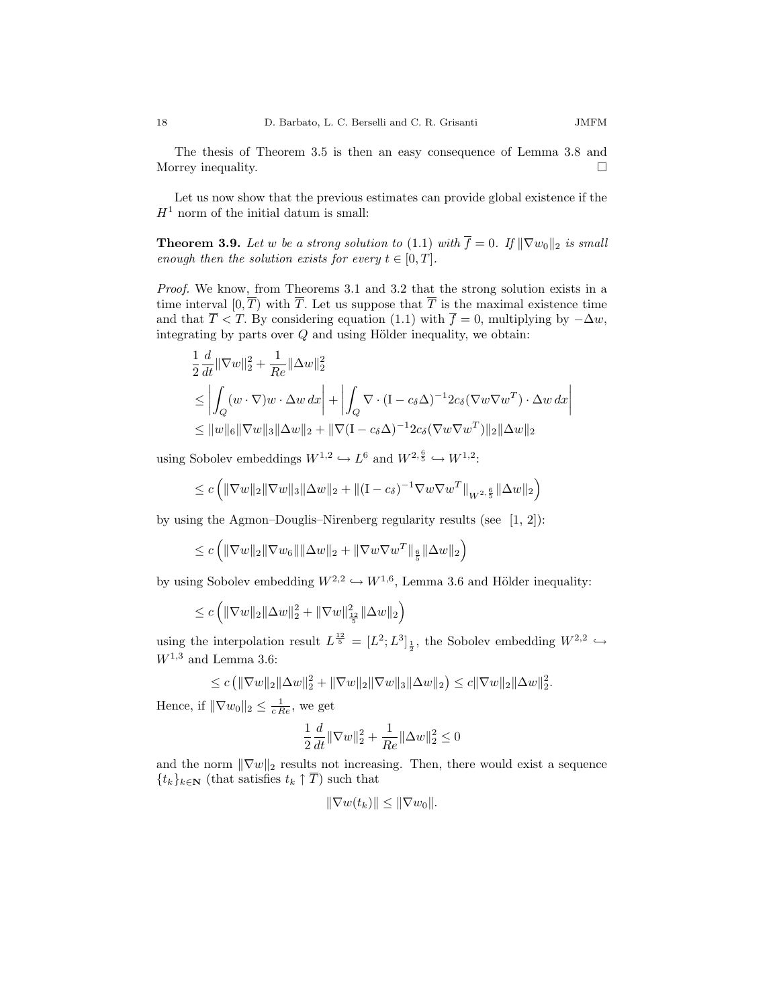Let us now show that the previous estimates can provide global existence if the  $H<sup>1</sup>$  norm of the initial datum is small:

**Theorem 3.9.** Let w be a strong solution to (1.1) with  $\overline{f} = 0$ . If  $\|\nabla w_0\|_2$  is small enough then the solution exists for every  $t \in [0, T]$ .

Proof. We know, from Theorems 3.1 and 3.2 that the strong solution exists in a time interval  $[0, \overline{T})$  with  $\overline{T}$ . Let us suppose that  $\overline{T}$  is the maximal existence time and that  $\overline{T}$  < T. By considering equation (1.1) with  $\overline{f} = 0$ , multiplying by  $-\Delta w$ , integrating by parts over  $Q$  and using Hölder inequality, we obtain:

$$
\frac{1}{2} \frac{d}{dt} ||\nabla w||_2^2 + \frac{1}{Re} ||\Delta w||_2^2
$$
\n
$$
\leq \left| \int_Q (w \cdot \nabla) w \cdot \Delta w \, dx \right| + \left| \int_Q \nabla \cdot (\mathbf{I} - c_\delta \Delta)^{-1} 2c_\delta (\nabla w \nabla w^T) \cdot \Delta w \, dx \right|
$$
\n
$$
\leq ||w||_6 ||\nabla w||_3 ||\Delta w||_2 + ||\nabla (\mathbf{I} - c_\delta \Delta)^{-1} 2c_\delta (\nabla w \nabla w^T) ||_2 ||\Delta w||_2
$$

using Sobolev embeddings  $W^{1,2} \hookrightarrow L^6$  and  $W^{2,\frac{6}{5}} \hookrightarrow W^{1,2}$ :

$$
\leq c \left( \|\nabla w\|_2 \|\nabla w\|_3 \|\Delta w\|_2 + \|(I - c_\delta)^{-1} \nabla w \nabla w^T\|_{W^{2, \frac{6}{5}}} \|\Delta w\|_2 \right)
$$

by using the Agmon–Douglis–Nirenberg regularity results (see [1, 2]):

$$
\leq c \left( \|\nabla w\|_2 \|\nabla w_6\| \|\Delta w\|_2 + \|\nabla w \nabla w^T\|_{\frac{6}{5}} \|\Delta w\|_2 \right)
$$

by using Sobolev embedding  $W^{2,2} \hookrightarrow W^{1,6}$ , Lemma 3.6 and Hölder inequality:

$$
\leq c \left( \|\nabla w\|_2 \|\Delta w\|_2^2 + \|\nabla w\|_{\frac{1}{5}}^2 \|\Delta w\|_2 \right)
$$

using the interpolation result  $L^{\frac{12}{5}} = [L^2; L^3]_{\frac{1}{2}}$ , the Sobolev embedding  $W^{2,2} \hookrightarrow$  $W^{1,3}$  and Lemma 3.6:

$$
\leq c \left( \|\nabla w\|_2 \|\Delta w\|_2^2 + \|\nabla w\|_2 \|\nabla w\|_3 \|\Delta w\|_2 \right) \leq c \|\nabla w\|_2 \|\Delta w\|_2^2.
$$

Hence, if  $\|\nabla w_0\|_2 \leq \frac{1}{c Re}$ , we get

$$
\frac{1}{2}\frac{d}{dt}\|\nabla w\|_2^2 + \frac{1}{Re}\|\Delta w\|_2^2 \leq 0
$$

and the norm  $\|\nabla w\|_2$  results not increasing. Then, there would exist a sequence  $\{t_k\}_{k\in\mathbf{N}}$  (that satisfies  $t_k \uparrow \overline{T}$ ) such that

$$
\|\nabla w(t_k)\| \le \|\nabla w_0\|.
$$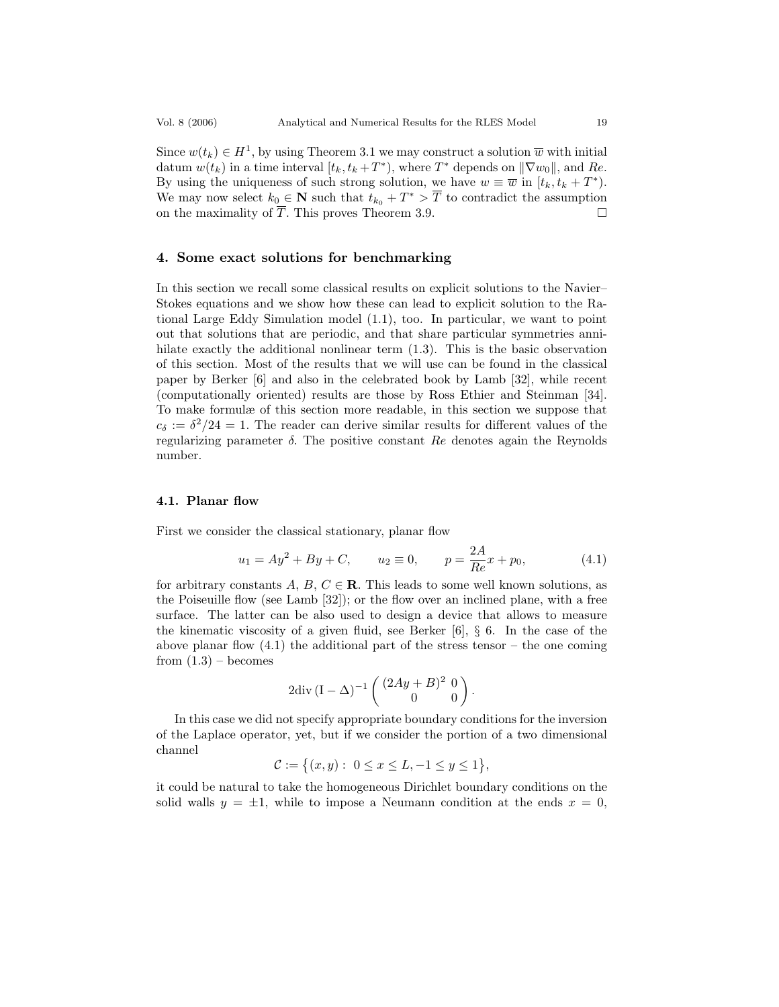Since  $w(t_k) \in H^1$ , by using Theorem 3.1 we may construct a solution  $\overline{w}$  with initial datum  $w(t_k)$  in a time interval  $[t_k, t_k + T^*)$ , where  $T^*$  depends on  $\|\nabla w_0\|$ , and  $Re$ . By using the uniqueness of such strong solution, we have  $w \equiv \overline{w}$  in  $[t_k, t_k + T^*).$ We may now select  $k_0 \in \mathbb{N}$  such that  $t_{k_0} + T^* > \overline{T}$  to contradict the assumption on the maximality of  $\overline{T}$ . This proves Theorem 3.9.

## 4. Some exact solutions for benchmarking

In this section we recall some classical results on explicit solutions to the Navier– Stokes equations and we show how these can lead to explicit solution to the Rational Large Eddy Simulation model (1.1), too. In particular, we want to point out that solutions that are periodic, and that share particular symmetries annihilate exactly the additional nonlinear term (1.3). This is the basic observation of this section. Most of the results that we will use can be found in the classical paper by Berker [6] and also in the celebrated book by Lamb [32], while recent (computationally oriented) results are those by Ross Ethier and Steinman [34]. To make formulæ of this section more readable, in this section we suppose that  $c_{\delta} := \delta^2/24 = 1$ . The reader can derive similar results for different values of the regularizing parameter δ. The positive constant Re denotes again the Reynolds number.

## 4.1. Planar flow

First we consider the classical stationary, planar flow

$$
u_1 = Ay^2 + By + C
$$
,  $u_2 \equiv 0$ ,  $p = \frac{2A}{Re}x + p_0$ , (4.1)

for arbitrary constants A, B,  $C \in \mathbb{R}$ . This leads to some well known solutions, as the Poiseuille flow (see Lamb [32]); or the flow over an inclined plane, with a free surface. The latter can be also used to design a device that allows to measure the kinematic viscosity of a given fluid, see Berker  $[6]$ , § 6. In the case of the above planar flow  $(4.1)$  the additional part of the stress tensor – the one coming from  $(1.3)$  – becomes

$$
2 \text{div} \, (\mathbf{I} - \Delta)^{-1} \begin{pmatrix} (2Ay + B)^2 & 0 \\ 0 & 0 \end{pmatrix}.
$$

In this case we did not specify appropriate boundary conditions for the inversion of the Laplace operator, yet, but if we consider the portion of a two dimensional channel

$$
\mathcal{C}:=\big\{(x,y):\ 0\leq x\leq L,-1\leq y\leq 1\big\},
$$

it could be natural to take the homogeneous Dirichlet boundary conditions on the solid walls  $y = \pm 1$ , while to impose a Neumann condition at the ends  $x = 0$ ,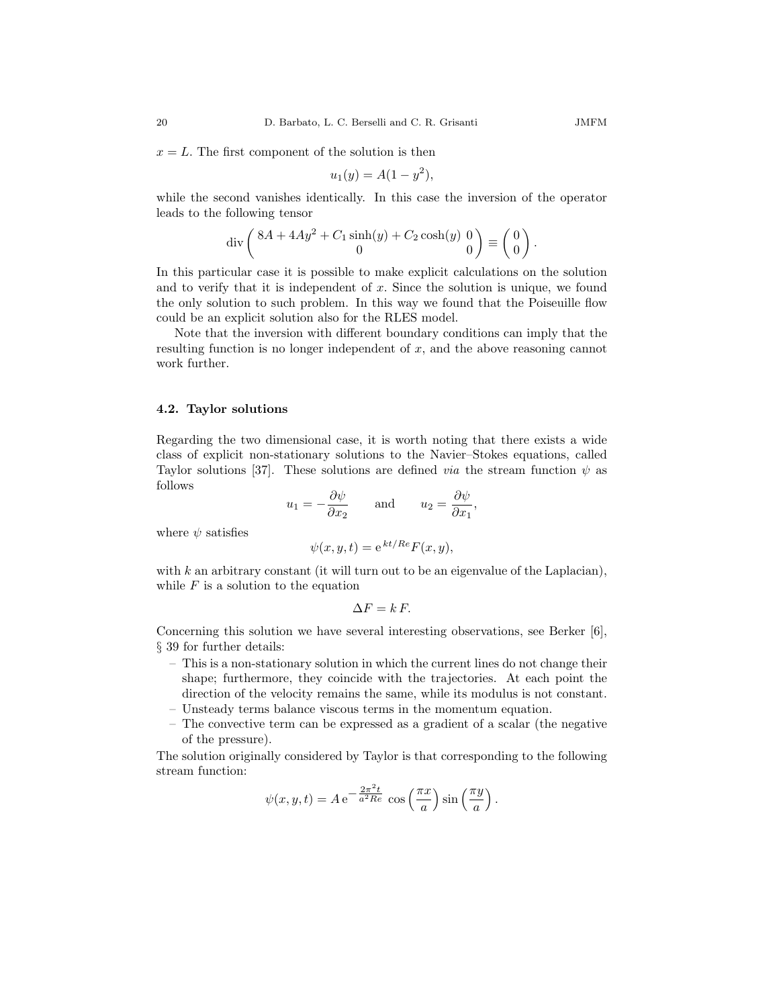$x = L$ . The first component of the solution is then

$$
u_1(y) = A(1 - y^2),
$$

while the second vanishes identically. In this case the inversion of the operator leads to the following tensor

$$
\operatorname{div}\left(\frac{8A + 4Ay^2 + C_1\sinh(y) + C_2\cosh(y)}{0}\right) \equiv \begin{pmatrix} 0\\0 \end{pmatrix}.
$$

In this particular case it is possible to make explicit calculations on the solution and to verify that it is independent of  $x$ . Since the solution is unique, we found the only solution to such problem. In this way we found that the Poiseuille flow could be an explicit solution also for the RLES model.

Note that the inversion with different boundary conditions can imply that the resulting function is no longer independent of  $x$ , and the above reasoning cannot work further.

#### 4.2. Taylor solutions

Regarding the two dimensional case, it is worth noting that there exists a wide class of explicit non-stationary solutions to the Navier–Stokes equations, called Taylor solutions [37]. These solutions are defined *via* the stream function  $\psi$  as follows

$$
u_1 = -\frac{\partial \psi}{\partial x_2}
$$
 and  $u_2 = \frac{\partial \psi}{\partial x_1}$ ,

where  $\psi$  satisfies

$$
\psi(x, y, t) = e^{kt/Re} F(x, y),
$$

with  $k$  an arbitrary constant (it will turn out to be an eigenvalue of the Laplacian), while  $F$  is a solution to the equation

$$
\Delta F = k F.
$$

Concerning this solution we have several interesting observations, see Berker [6], § 39 for further details:

- This is a non-stationary solution in which the current lines do not change their shape; furthermore, they coincide with the trajectories. At each point the direction of the velocity remains the same, while its modulus is not constant.
- Unsteady terms balance viscous terms in the momentum equation.
- The convective term can be expressed as a gradient of a scalar (the negative of the pressure).

The solution originally considered by Taylor is that corresponding to the following stream function:

$$
\psi(x,y,t) = A e^{-\frac{2\pi^2 t}{a^2 Re}} \cos\left(\frac{\pi x}{a}\right) \sin\left(\frac{\pi y}{a}\right).
$$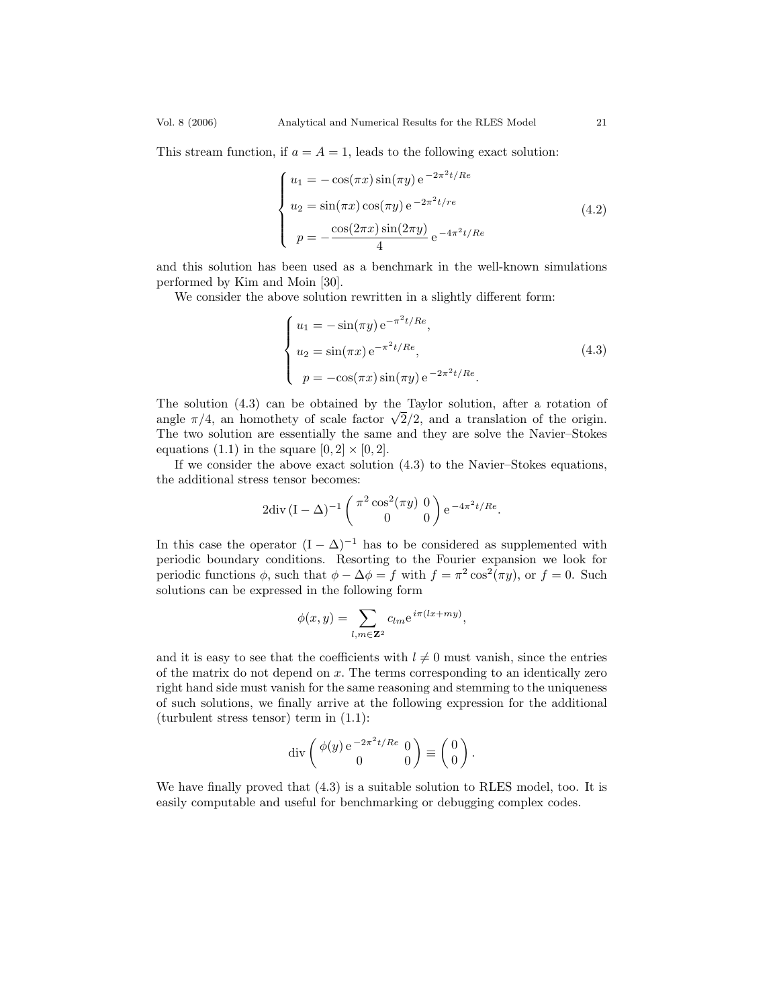This stream function, if  $a = A = 1$ , leads to the following exact solution:

$$
\begin{cases}\nu_1 = -\cos(\pi x)\sin(\pi y) e^{-2\pi^2 t/Re} \\
u_2 = \sin(\pi x)\cos(\pi y) e^{-2\pi^2 t/re} \\
p = -\frac{\cos(2\pi x)\sin(2\pi y)}{4} e^{-4\pi^2 t/Re}\n\end{cases}
$$
\n(4.2)

and this solution has been used as a benchmark in the well-known simulations performed by Kim and Moin [30].

We consider the above solution rewritten in a slightly different form:

$$
\begin{cases}\nu_1 = -\sin(\pi y) e^{-\pi^2 t/Re}, \nu_2 = \sin(\pi x) e^{-\pi^2 t/Re}, \np = -\cos(\pi x) \sin(\pi y) e^{-2\pi^2 t/Re}.\n\end{cases}
$$
\n(4.3)

The solution (4.3) can be obtained by the Taylor solution, after a rotation of angle  $\pi/4$ , an homothety of scale factor  $\sqrt{2}/2$ , and a translation of the origin. The two solution are essentially the same and they are solve the Navier–Stokes equations (1.1) in the square  $[0, 2] \times [0, 2]$ .

If we consider the above exact solution (4.3) to the Navier–Stokes equations, the additional stress tensor becomes:

$$
2\text{div}\,(I - \Delta)^{-1} \begin{pmatrix} \pi^2 \cos^2(\pi y) & 0 \\ 0 & 0 \end{pmatrix} e^{-4\pi^2 t/Re}.
$$

In this case the operator  $(I - \Delta)^{-1}$  has to be considered as supplemented with periodic boundary conditions. Resorting to the Fourier expansion we look for periodic functions  $\phi$ , such that  $\phi - \Delta \phi = f$  with  $f = \pi^2 \cos^2(\pi y)$ , or  $f = 0$ . Such solutions can be expressed in the following form

$$
\phi(x,y)=\sum_{l,m\in {\bf Z}^2}c_{lm}{\rm e}^{\,i\pi(lx+my)},
$$

and it is easy to see that the coefficients with  $l \neq 0$  must vanish, since the entries of the matrix do not depend on  $x$ . The terms corresponding to an identically zero right hand side must vanish for the same reasoning and stemming to the uniqueness of such solutions, we finally arrive at the following expression for the additional (turbulent stress tensor) term in (1.1):

$$
\operatorname{div}\left(\begin{array}{cc}\phi(y)\,\mathrm{e}^{\,-2\pi^2t/Re}&0\\0&0\end{array}\right)\equiv\left(\begin{array}{c}0\\0\end{array}\right).
$$

We have finally proved that (4.3) is a suitable solution to RLES model, too. It is easily computable and useful for benchmarking or debugging complex codes.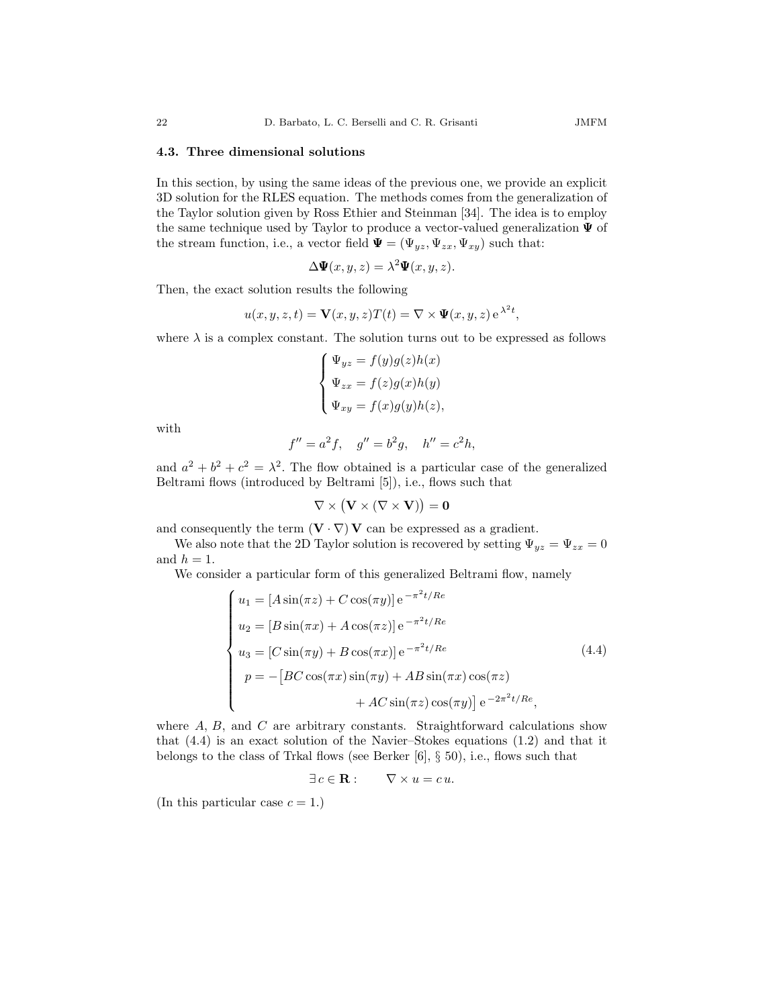#### 4.3. Three dimensional solutions

In this section, by using the same ideas of the previous one, we provide an explicit 3D solution for the RLES equation. The methods comes from the generalization of the Taylor solution given by Ross Ethier and Steinman [34]. The idea is to employ the same technique used by Taylor to produce a vector-valued generalization  $\Psi$  of the stream function, i.e., a vector field  $\Psi = (\Psi_{yz}, \Psi_{zx}, \Psi_{xy})$  such that:

$$
\Delta \Psi(x, y, z) = \lambda^2 \Psi(x, y, z).
$$

Then, the exact solution results the following

$$
u(x, y, z, t) = \mathbf{V}(x, y, z)T(t) = \nabla \times \Psi(x, y, z) e^{\lambda^2 t},
$$

where  $\lambda$  is a complex constant. The solution turns out to be expressed as follows

$$
\left\{ \begin{aligned} \Psi_{yz} &= f(y)g(z)h(x) \\ \Psi_{zx} &= f(z)g(x)h(y) \\ \Psi_{xy} &= f(x)g(y)h(z), \end{aligned} \right.
$$

with

$$
f'' = a^2 f
$$
,  $g'' = b^2 g$ ,  $h'' = c^2 h$ ,

and  $a^2 + b^2 + c^2 = \lambda^2$ . The flow obtained is a particular case of the generalized Beltrami flows (introduced by Beltrami [5]), i.e., flows such that

$$
\nabla \times \big( \mathbf{V} \times (\nabla \times \mathbf{V}) \big) = 0
$$

and consequently the term  $(\mathbf{V} \cdot \nabla) \mathbf{V}$  can be expressed as a gradient.

We also note that the 2D Taylor solution is recovered by setting  $\Psi_{yz} = \Psi_{zx} = 0$ and  $h = 1$ .

We consider a particular form of this generalized Beltrami flow, namely

$$
\begin{cases}\nu_1 = [A\sin(\pi z) + C\cos(\pi y)] e^{-\pi^2 t/Re} \\
u_2 = [B\sin(\pi x) + A\cos(\pi z)] e^{-\pi^2 t/Re} \\
u_3 = [C\sin(\pi y) + B\cos(\pi x)] e^{-\pi^2 t/Re} \\
p = -[BC\cos(\pi x)\sin(\pi y) + AB\sin(\pi x)\cos(\pi z) \\
&+ AC\sin(\pi z)\cos(\pi y)] e^{-2\pi^2 t/Re},\n\end{cases}
$$
\n(4.4)

where  $A, B$ , and  $C$  are arbitrary constants. Straightforward calculations show that (4.4) is an exact solution of the Navier–Stokes equations (1.2) and that it belongs to the class of Trkal flows (see Berker [6], § 50), i.e., flows such that

$$
\exists c \in \mathbf{R} : \qquad \nabla \times u = c u.
$$

(In this particular case  $c = 1$ .)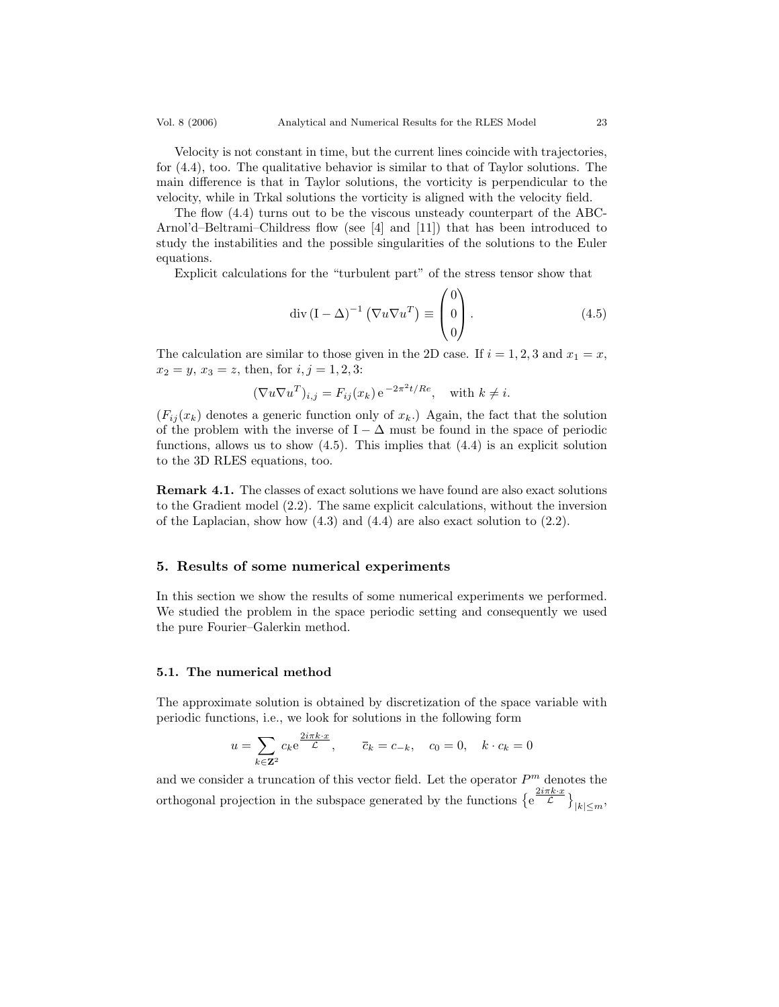Velocity is not constant in time, but the current lines coincide with trajectories, for (4.4), too. The qualitative behavior is similar to that of Taylor solutions. The main difference is that in Taylor solutions, the vorticity is perpendicular to the velocity, while in Trkal solutions the vorticity is aligned with the velocity field.

The flow (4.4) turns out to be the viscous unsteady counterpart of the ABC-Arnol'd–Beltrami–Childress flow (see [4] and [11]) that has been introduced to study the instabilities and the possible singularities of the solutions to the Euler equations.

Explicit calculations for the "turbulent part" of the stress tensor show that

$$
\operatorname{div} (\mathbf{I} - \Delta)^{-1} \left( \nabla u \nabla u^T \right) \equiv \begin{pmatrix} 0 \\ 0 \\ 0 \end{pmatrix} . \tag{4.5}
$$

The calculation are similar to those given in the 2D case. If  $i = 1, 2, 3$  and  $x_1 = x$ ,  $x_2 = y, x_3 = z$ , then, for  $i, j = 1, 2, 3$ :

$$
(\nabla u \nabla u^T)_{i,j} = F_{ij}(x_k) e^{-2\pi^2 t/Re}, \text{ with } k \neq i.
$$

 $(F_{ii}(x_k)$  denotes a generic function only of  $x_k$ .) Again, the fact that the solution of the problem with the inverse of I –  $\Delta$  must be found in the space of periodic functions, allows us to show  $(4.5)$ . This implies that  $(4.4)$  is an explicit solution to the 3D RLES equations, too.

Remark 4.1. The classes of exact solutions we have found are also exact solutions to the Gradient model (2.2). The same explicit calculations, without the inversion of the Laplacian, show how (4.3) and (4.4) are also exact solution to (2.2).

## 5. Results of some numerical experiments

In this section we show the results of some numerical experiments we performed. We studied the problem in the space periodic setting and consequently we used the pure Fourier–Galerkin method.

## 5.1. The numerical method

The approximate solution is obtained by discretization of the space variable with periodic functions, i.e., we look for solutions in the following form

$$
u = \sum_{k \in \mathbf{Z}^2} c_k e^{\frac{2i\pi k \cdot x}{\mathcal{L}}}, \qquad \overline{c}_k = c_{-k}, \quad c_0 = 0, \quad k \cdot c_k = 0
$$

and we consider a truncation of this vector field. Let the operator  $P<sup>m</sup>$  denotes the orthogonal projection in the subspace generated by the functions  $\{e^{\frac{2i\pi k \cdot x}{\mathcal{L}}}\}_{|k| \leq m}$ ,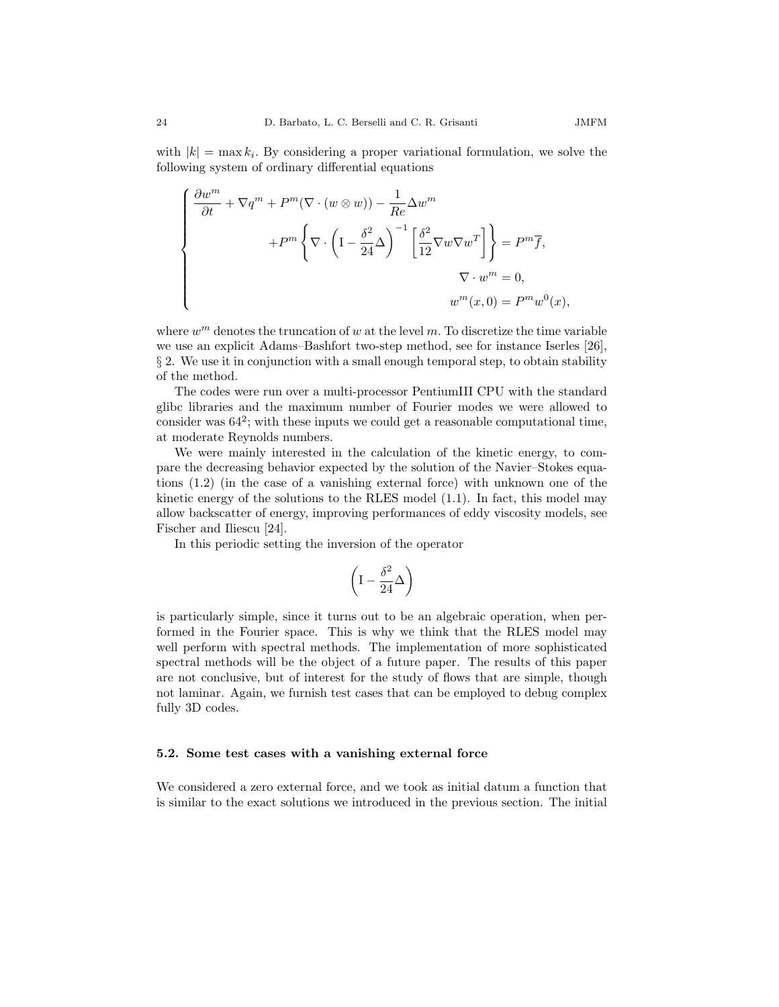with  $|k| = \max k_i$ . By considering a proper variational formulation, we solve the following system of ordinary differential equations

$$
\begin{cases}\n\frac{\partial w^m}{\partial t} + \nabla q^m + P^m (\nabla \cdot (w \otimes w)) - \frac{1}{Re} \Delta w^m \\
+ P^m \left\{ \nabla \cdot \left( \mathbf{I} - \frac{\delta^2}{24} \Delta \right)^{-1} \left[ \frac{\delta^2}{12} \nabla w \nabla w^T \right] \right\} = P^m \overline{f}, \\
\nabla \cdot w^m = 0, \\
w^m(x, 0) = P^m w^0(x),\n\end{cases}
$$

where  $w^m$  denotes the truncation of w at the level m. To discretize the time variable we use an explicit Adams–Bashfort two-step method, see for instance Iserles [26], § 2. We use it in conjunction with a small enough temporal step, to obtain stability of the method.

The codes were run over a multi-processor PentiumIII CPU with the standard glibc libraries and the maximum number of Fourier modes we were allowed to consider was  $64^2$ ; with these inputs we could get a reasonable computational time, at moderate Reynolds numbers.

We were mainly interested in the calculation of the kinetic energy, to compare the decreasing behavior expected by the solution of the Navier–Stokes equations (1.2) (in the case of a vanishing external force) with unknown one of the kinetic energy of the solutions to the RLES model  $(1.1)$ . In fact, this model may allow backscatter of energy, improving performances of eddy viscosity models, see Fischer and Iliescu [24].

In this periodic setting the inversion of the operator

$$
\left(I-\frac{\delta^2}{24}\Delta\right)
$$

is particularly simple, since it turns out to be an algebraic operation, when performed in the Fourier space. This is why we think that the RLES model may well perform with spectral methods. The implementation of more sophisticated spectral methods will be the object of a future paper. The results of this paper are not conclusive, but of interest for the study of flows that are simple, though not laminar. Again, we furnish test cases that can be employed to debug complex fully 3D codes.

#### 5.2. Some test cases with a vanishing external force

We considered a zero external force, and we took as initial datum a function that is similar to the exact solutions we introduced in the previous section. The initial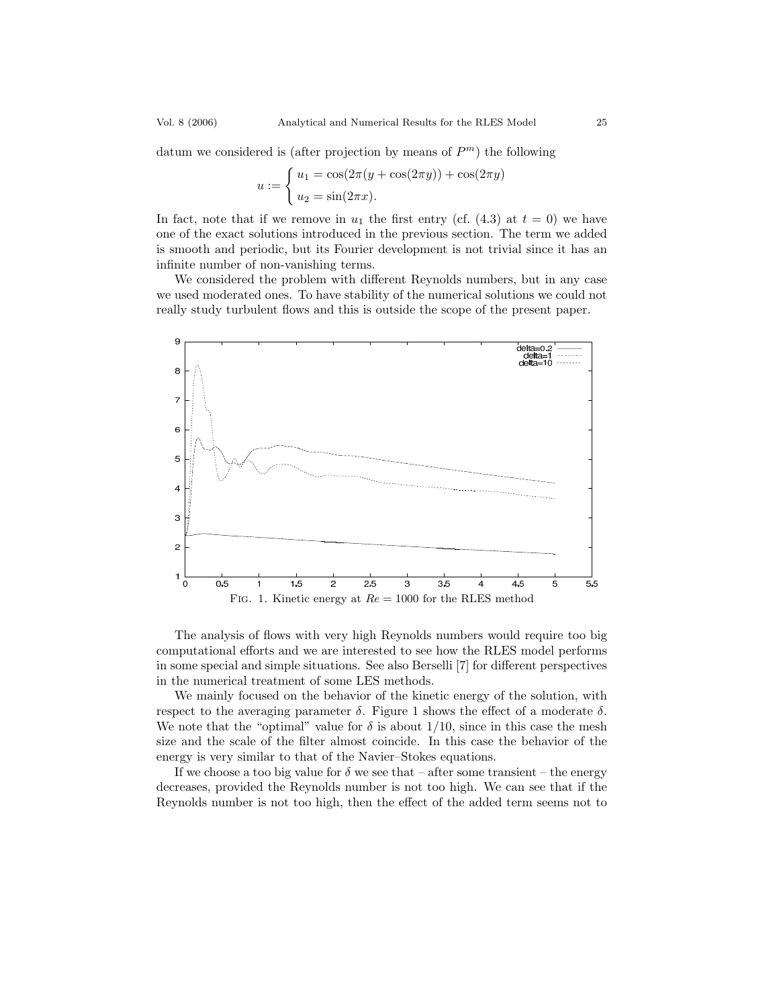datum we considered is (after projection by means of  $P<sup>m</sup>$ ) the following

$$
u := \begin{cases} u_1 = \cos(2\pi(y + \cos(2\pi y)) + \cos(2\pi y)) \\ u_2 = \sin(2\pi x). \end{cases}
$$

In fact, note that if we remove in  $u_1$  the first entry (cf. (4.3) at  $t = 0$ ) we have one of the exact solutions introduced in the previous section. The term we added is smooth and periodic, but its Fourier development is not trivial since it has an infinite number of non-vanishing terms.

We considered the problem with different Reynolds numbers, but in any case we used moderated ones. To have stability of the numerical solutions we could not really study turbulent flows and this is outside the scope of the present paper.



The analysis of flows with very high Reynolds numbers would require too big computational efforts and we are interested to see how the RLES model performs in some special and simple situations. See also Berselli [7] for different perspectives in the numerical treatment of some LES methods.

We mainly focused on the behavior of the kinetic energy of the solution, with respect to the averaging parameter δ. Figure 1 shows the effect of a moderate δ. We note that the "optimal" value for  $\delta$  is about 1/10, since in this case the mesh size and the scale of the filter almost coincide. In this case the behavior of the energy is very similar to that of the Navier–Stokes equations.

If we choose a too big value for  $\delta$  we see that – after some transient – the energy decreases, provided the Reynolds number is not too high. We can see that if the Reynolds number is not too high, then the effect of the added term seems not to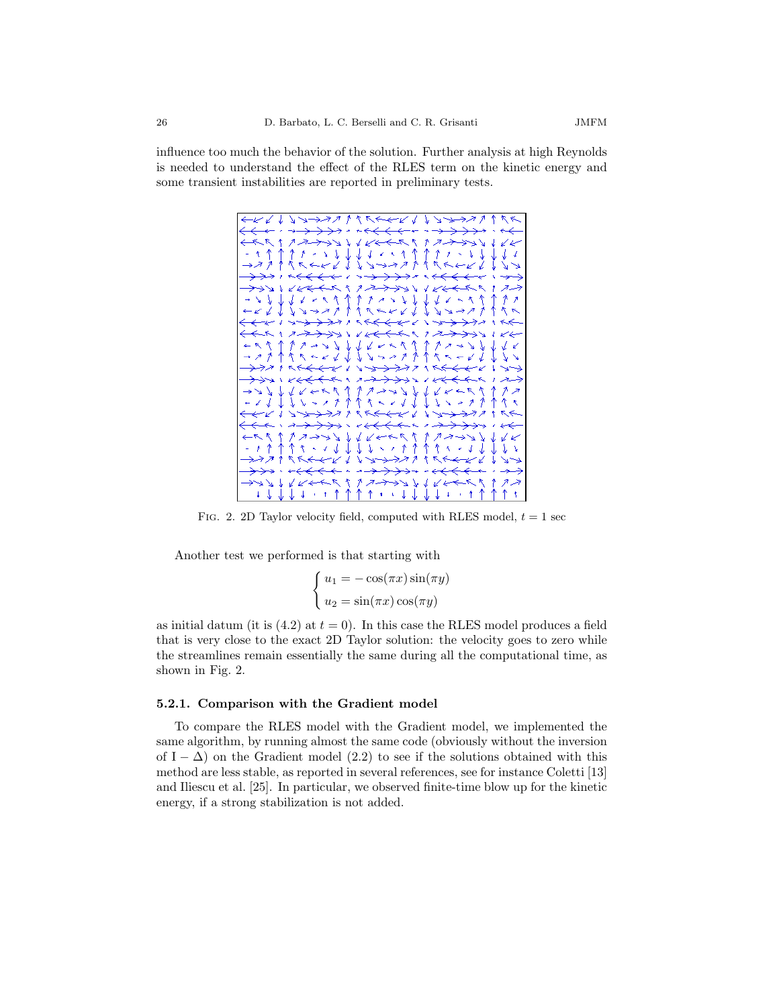

FIG. 2. 2D Taylor velocity field, computed with RLES model,  $t = 1$  sec

Another test we performed is that starting with

$$
\begin{cases}\n u_1 = -\cos(\pi x)\sin(\pi y) \\
 u_2 = \sin(\pi x)\cos(\pi y)\n\end{cases}
$$

as initial datum (it is  $(4.2)$  at  $t = 0$ ). In this case the RLES model produces a field that is very close to the exact 2D Taylor solution: the velocity goes to zero while the streamlines remain essentially the same during all the computational time, as shown in Fig. 2.

#### 5.2.1. Comparison with the Gradient model

To compare the RLES model with the Gradient model, we implemented the same algorithm, by running almost the same code (obviously without the inversion of I –  $\Delta$ ) on the Gradient model (2.2) to see if the solutions obtained with this method are less stable, as reported in several references, see for instance Coletti [13] and Iliescu et al. [25]. In particular, we observed finite-time blow up for the kinetic energy, if a strong stabilization is not added.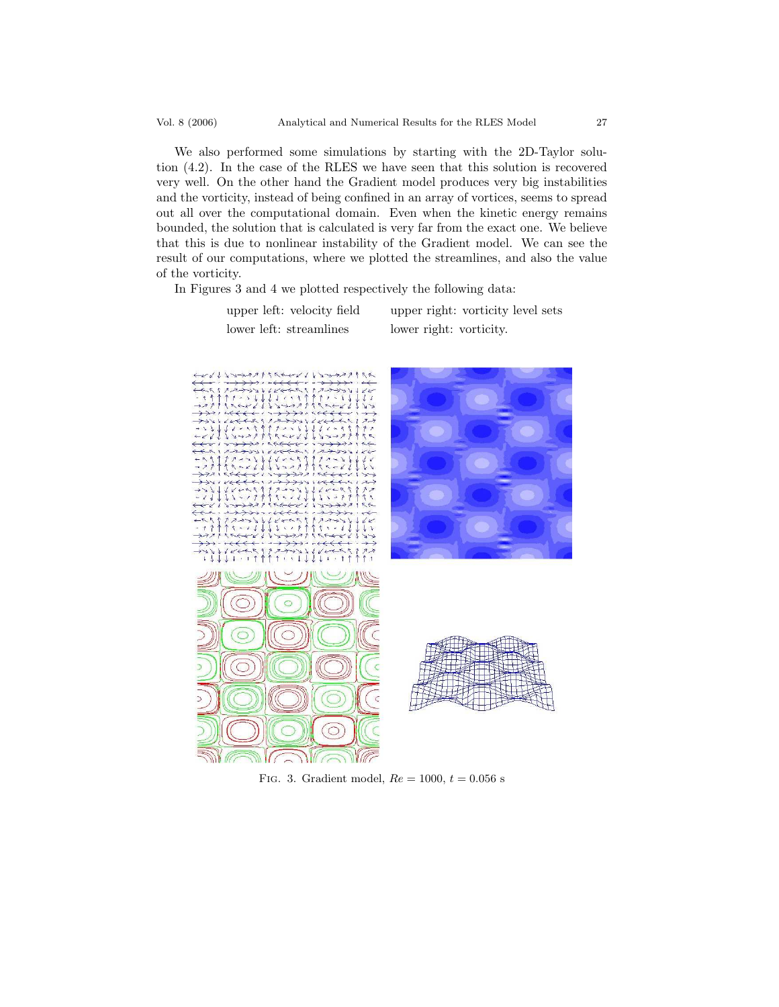We also performed some simulations by starting with the 2D-Taylor solution (4.2). In the case of the RLES we have seen that this solution is recovered very well. On the other hand the Gradient model produces very big instabilities and the vorticity, instead of being confined in an array of vortices, seems to spread out all over the computational domain. Even when the kinetic energy remains bounded, the solution that is calculated is very far from the exact one. We believe that this is due to nonlinear instability of the Gradient model. We can see the result of our computations, where we plotted the streamlines, and also the value of the vorticity.

In Figures 3 and 4 we plotted respectively the following data:

upper left: velocity field upper right: vorticity level sets

lower left: streamlines lower right: vorticity.



FIG. 3. Gradient model,  $Re = 1000, t = 0.056$  s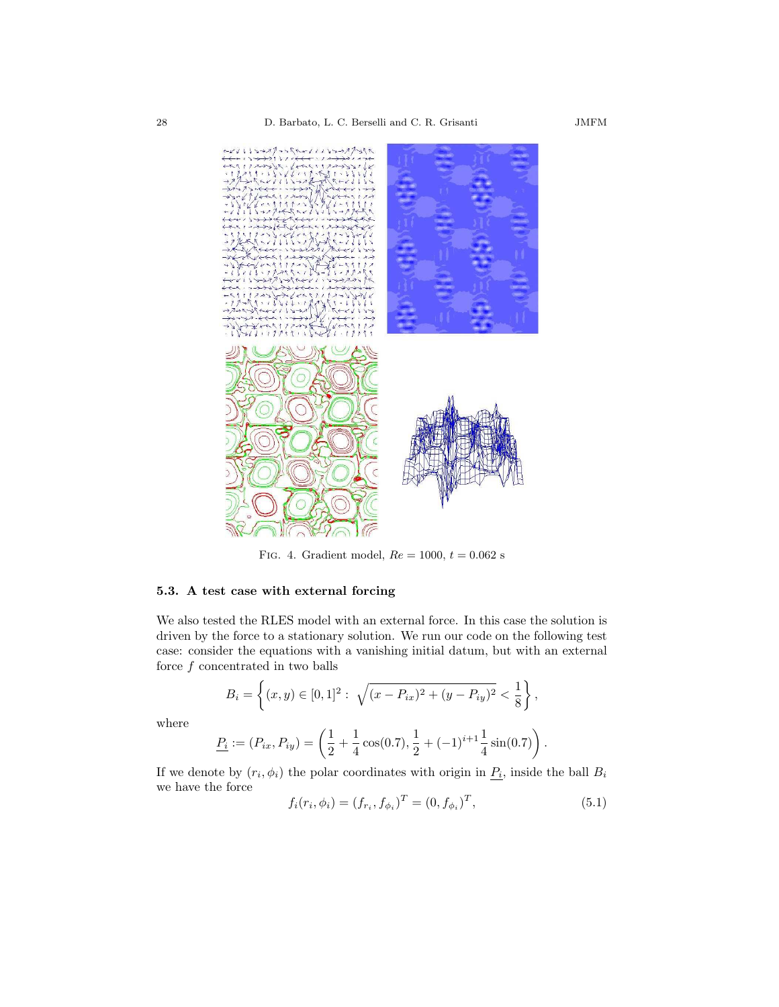

FIG. 4. Gradient model,  $Re = 1000$ ,  $t = 0.062$  s

## 5.3. A test case with external forcing

We also tested the RLES model with an external force. In this case the solution is driven by the force to a stationary solution. We run our code on the following test case: consider the equations with a vanishing initial datum, but with an external force  $f$  concentrated in two balls

$$
B_i = \left\{ (x, y) \in [0, 1]^2 : \sqrt{(x - P_{ix})^2 + (y - P_{iy})^2} < \frac{1}{8} \right\},\
$$

where

$$
\underline{P_i} := (P_{ix}, P_{iy}) = \left(\frac{1}{2} + \frac{1}{4}\cos(0.7), \frac{1}{2} + (-1)^{i+1}\frac{1}{4}\sin(0.7)\right).
$$

If we denote by  $(r_i, \phi_i)$  the polar coordinates with origin in  $P_i$ , inside the ball  $B_i$ we have the force

$$
f_i(r_i, \phi_i) = (f_{r_i}, f_{\phi_i})^T = (0, f_{\phi_i})^T, \tag{5.1}
$$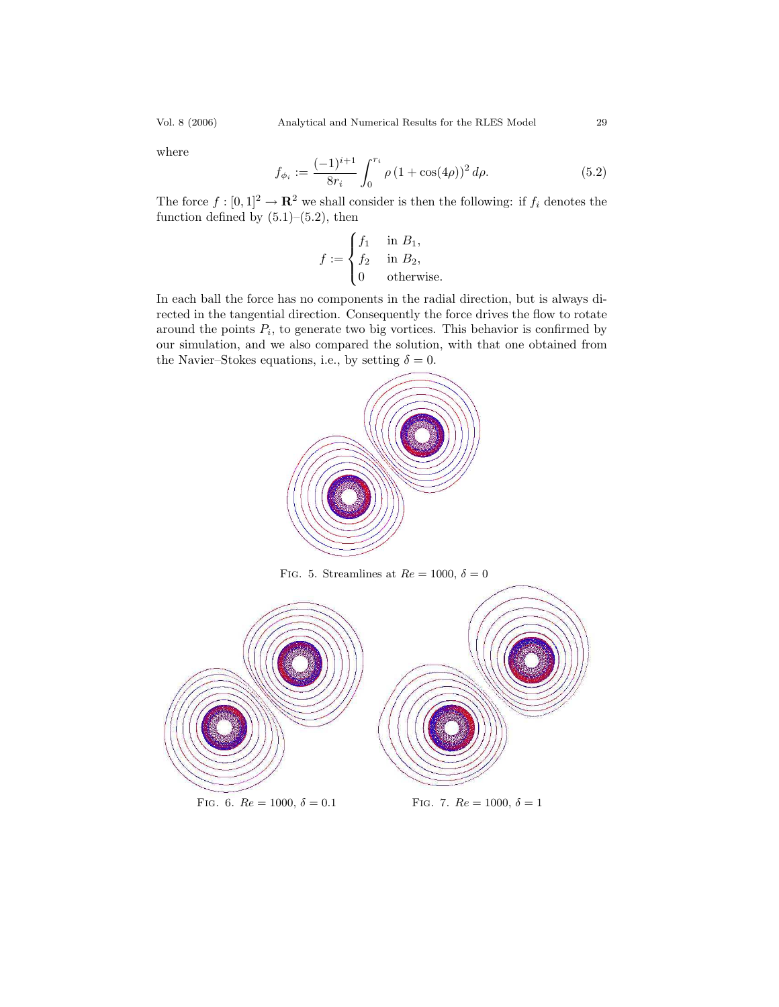where

$$
f_{\phi_i} := \frac{(-1)^{i+1}}{8r_i} \int_0^{r_i} \rho (1 + \cos(4\rho))^2 d\rho.
$$
 (5.2)

The force  $f : [0,1]^2 \to \mathbf{R}^2$  we shall consider is then the following: if  $f_i$  denotes the function defined by  $(5.1)$ – $(5.2)$ , then

$$
f := \begin{cases} f_1 & \text{ in } B_1, \\ f_2 & \text{ in } B_2, \\ 0 & \text{ otherwise.} \end{cases}
$$

In each ball the force has no components in the radial direction, but is always directed in the tangential direction. Consequently the force drives the flow to rotate around the points  $P_i$ , to generate two big vortices. This behavior is confirmed by our simulation, and we also compared the solution, with that one obtained from the Navier–Stokes equations, i.e., by setting  $\delta = 0$ .



FIG. 5. Streamlines at  $Re = 1000, \delta = 0$ 

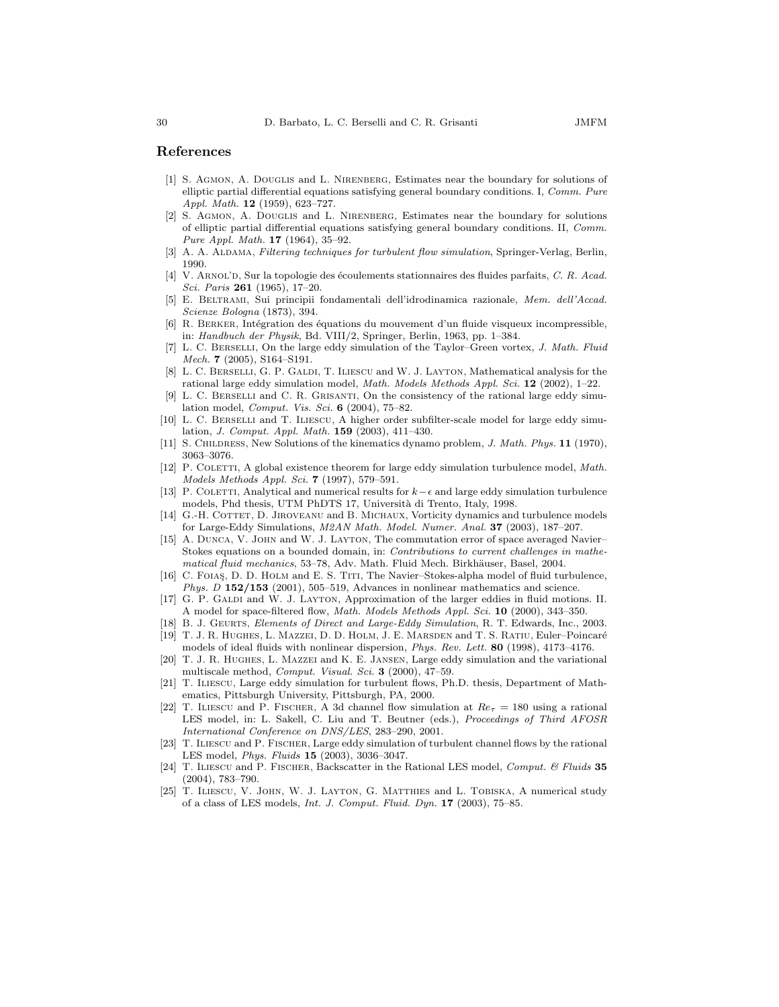## References

- [1] S. Agmon, A. Douglis and L. Nirenberg, Estimates near the boundary for solutions of elliptic partial differential equations satisfying general boundary conditions. I, Comm. Pure Appl. Math. 12 (1959), 623–727.
- [2] S. AGMON, A. DOUGLIS and L. NIRENBERG, Estimates near the boundary for solutions of elliptic partial differential equations satisfying general boundary conditions. II, Comm. Pure Appl. Math. 17 (1964), 35–92.
- [3] A. A. ALDAMA, Filtering techniques for turbulent flow simulation, Springer-Verlag, Berlin, 1990.
- [4] V. ARNOL'D, Sur la topologie des écoulements stationnaires des fluides parfaits, C. R. Acad. Sci. Paris 261 (1965), 17-20.
- [5] E. Beltrami, Sui principii fondamentali dell'idrodinamica razionale, Mem. dell'Accad. Scienze Bologna (1873), 394.
- [6] R. BERKER, Intégration des équations du mouvement d'un fluide visqueux incompressible, in: Handbuch der Physik, Bd. VIII/2, Springer, Berlin, 1963, pp. 1–384.
- [7] L. C. Berselli, On the large eddy simulation of the Taylor–Green vortex, J. Math. Fluid Mech. 7 (2005), S164–S191.
- [8] L. C. BERSELLI, G. P. GALDI, T. ILIESCU and W. J. LAYTON, Mathematical analysis for the rational large eddy simulation model, Math. Models Methods Appl. Sci. 12 (2002), 1–22.
- [9] L. C. Berselli and C. R. Grisanti, On the consistency of the rational large eddy simulation model, Comput. Vis. Sci. 6 (2004), 75–82.
- [10] L. C. Berselli and T. Iliescu, A higher order subfilter-scale model for large eddy simulation, J. Comput. Appl. Math. 159 (2003), 411–430.
- [11] S. Childress, New Solutions of the kinematics dynamo problem, J. Math. Phys. 11 (1970), 3063–3076.
- [12] P. COLETTI, A global existence theorem for large eddy simulation turbulence model, Math. Models Methods Appl. Sci. 7 (1997), 579–591.
- [13] P. COLETTI, Analytical and numerical results for  $k-\epsilon$  and large eddy simulation turbulence models, Phd thesis, UTM PhDTS 17, Università di Trento, Italy, 1998.
- [14] G.-H. COTTET, D. JIROVEANU and B. MICHAUX, Vorticity dynamics and turbulence models for Large-Eddy Simulations, M2AN Math. Model. Numer. Anal. 37 (2003), 187–207.
- [15] A. Dunca, V. John and W. J. Layton, The commutation error of space averaged Navier– Stokes equations on a bounded domain, in: Contributions to current challenges in mathematical fluid mechanics, 53–78, Adv. Math. Fluid Mech. Birkhäuser, Basel, 2004.
- [16] C. FOIAS, D. D. HOLM and E. S. TITI, The Navier–Stokes-alpha model of fluid turbulence, Phys. D 152/153 (2001), 505–519, Advances in nonlinear mathematics and science.
- [17] G. P. GALDI and W. J. LAYTON, Approximation of the larger eddies in fluid motions. II. A model for space-filtered flow, Math. Models Methods Appl. Sci. 10 (2000), 343–350.
- [18] B. J. Geurts, Elements of Direct and Large-Eddy Simulation, R. T. Edwards, Inc., 2003. [19] T. J. R. HUGHES, L. MAZZEI, D. D. HOLM, J. E. MARSDEN and T. S. RATIU, Euler–Poincaré
- models of ideal fluids with nonlinear dispersion, Phys. Rev. Lett. 80 (1998), 4173–4176. [20] T. J. R. Hughes, L. Mazzei and K. E. Jansen, Large eddy simulation and the variational multiscale method, Comput. Visual. Sci. 3 (2000), 47–59.
- [21] T. Iliescu, Large eddy simulation for turbulent flows, Ph.D. thesis, Department of Mathematics, Pittsburgh University, Pittsburgh, PA, 2000.
- [22] T. ILIESCU and P. FISCHER, A 3d channel flow simulation at  $Re<sub>\tau</sub> = 180$  using a rational LES model, in: L. Sakell, C. Liu and T. Beutner (eds.), Proceedings of Third AFOSR International Conference on DNS/LES, 283–290, 2001.
- [23] T. Iliescu and P. Fischer, Large eddy simulation of turbulent channel flows by the rational LES model, Phys. Fluids 15 (2003), 3036–3047.
- [24] T. ILIESCU and P. FISCHER, Backscatter in the Rational LES model, Comput. & Fluids 35 (2004), 783–790.
- [25] T. ILIESCU, V. JOHN, W. J. LAYTON, G. MATTHIES and L. TOBISKA, A numerical study of a class of LES models, Int. J. Comput. Fluid. Dyn. 17 (2003), 75–85.